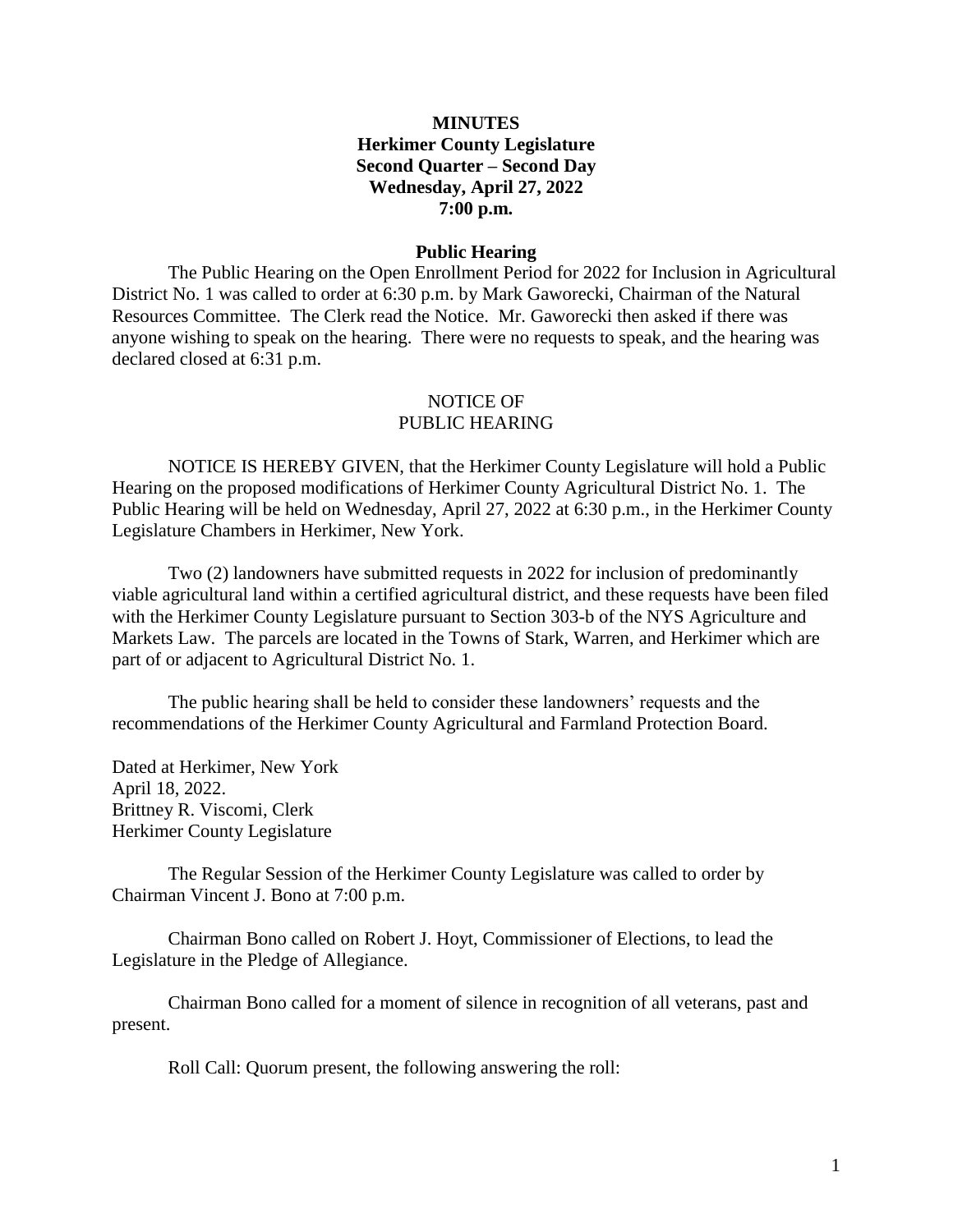### **MINUTES Herkimer County Legislature Second Quarter – Second Day Wednesday, April 27, 2022 7:00 p.m.**

#### **Public Hearing**

The Public Hearing on the Open Enrollment Period for 2022 for Inclusion in Agricultural District No. 1 was called to order at 6:30 p.m. by Mark Gaworecki, Chairman of the Natural Resources Committee. The Clerk read the Notice. Mr. Gaworecki then asked if there was anyone wishing to speak on the hearing. There were no requests to speak, and the hearing was declared closed at 6:31 p.m.

### NOTICE OF PUBLIC HEARING

NOTICE IS HEREBY GIVEN, that the Herkimer County Legislature will hold a Public Hearing on the proposed modifications of Herkimer County Agricultural District No. 1. The Public Hearing will be held on Wednesday, April 27, 2022 at 6:30 p.m., in the Herkimer County Legislature Chambers in Herkimer, New York.

Two (2) landowners have submitted requests in 2022 for inclusion of predominantly viable agricultural land within a certified agricultural district, and these requests have been filed with the Herkimer County Legislature pursuant to Section 303-b of the NYS Agriculture and Markets Law. The parcels are located in the Towns of Stark, Warren, and Herkimer which are part of or adjacent to Agricultural District No. 1.

The public hearing shall be held to consider these landowners' requests and the recommendations of the Herkimer County Agricultural and Farmland Protection Board.

Dated at Herkimer, New York April 18, 2022. Brittney R. Viscomi, Clerk Herkimer County Legislature

The Regular Session of the Herkimer County Legislature was called to order by Chairman Vincent J. Bono at 7:00 p.m.

Chairman Bono called on Robert J. Hoyt, Commissioner of Elections, to lead the Legislature in the Pledge of Allegiance.

Chairman Bono called for a moment of silence in recognition of all veterans, past and present.

Roll Call: Quorum present, the following answering the roll: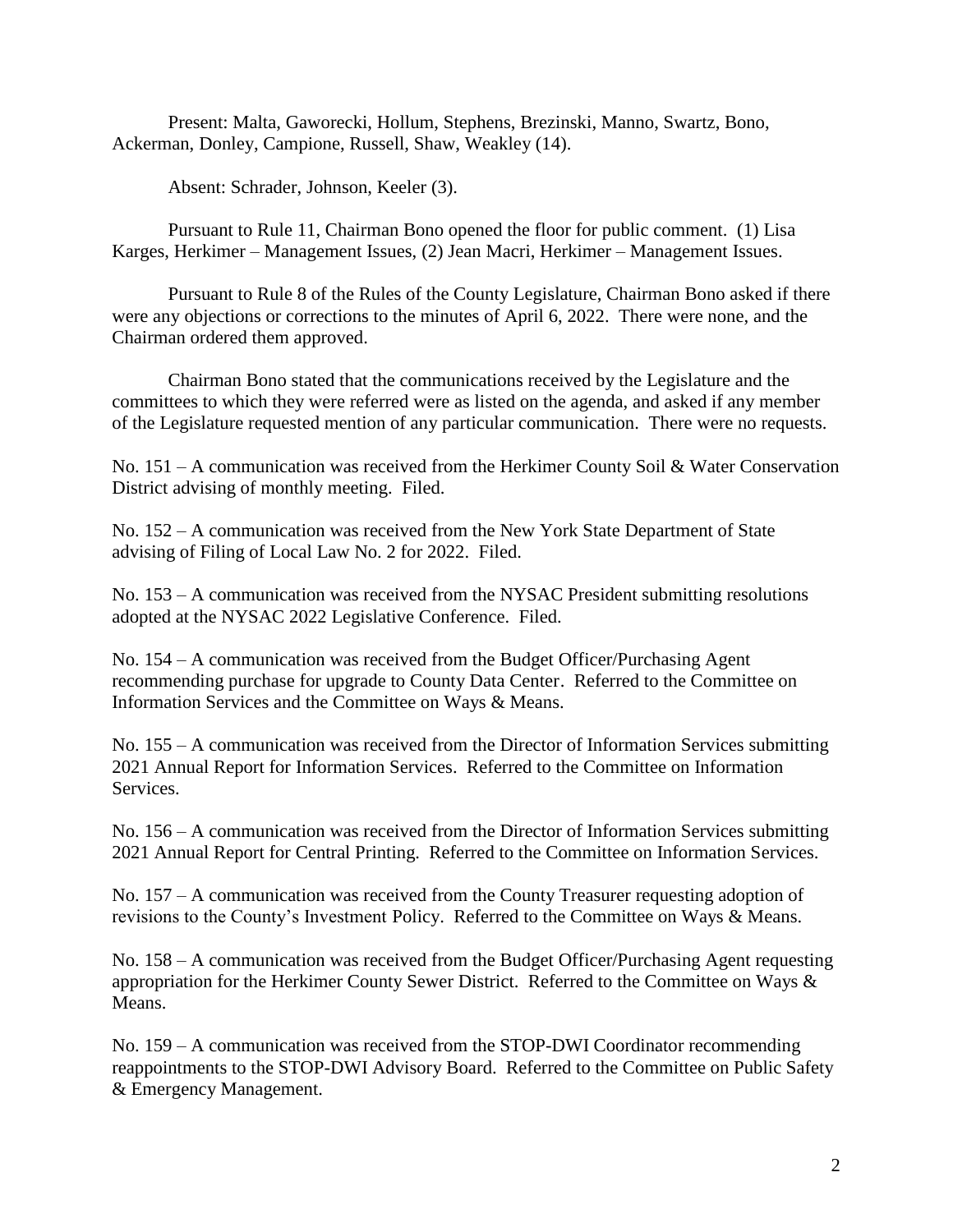Present: Malta, Gaworecki, Hollum, Stephens, Brezinski, Manno, Swartz, Bono, Ackerman, Donley, Campione, Russell, Shaw, Weakley (14).

Absent: Schrader, Johnson, Keeler (3).

Pursuant to Rule 11, Chairman Bono opened the floor for public comment. (1) Lisa Karges, Herkimer – Management Issues, (2) Jean Macri, Herkimer – Management Issues.

Pursuant to Rule 8 of the Rules of the County Legislature, Chairman Bono asked if there were any objections or corrections to the minutes of April 6, 2022. There were none, and the Chairman ordered them approved.

Chairman Bono stated that the communications received by the Legislature and the committees to which they were referred were as listed on the agenda, and asked if any member of the Legislature requested mention of any particular communication. There were no requests.

No. 151 – A communication was received from the Herkimer County Soil & Water Conservation District advising of monthly meeting. Filed.

No. 152 – A communication was received from the New York State Department of State advising of Filing of Local Law No. 2 for 2022. Filed.

No. 153 – A communication was received from the NYSAC President submitting resolutions adopted at the NYSAC 2022 Legislative Conference. Filed.

No. 154 – A communication was received from the Budget Officer/Purchasing Agent recommending purchase for upgrade to County Data Center. Referred to the Committee on Information Services and the Committee on Ways & Means.

No. 155 – A communication was received from the Director of Information Services submitting 2021 Annual Report for Information Services. Referred to the Committee on Information Services.

No. 156 – A communication was received from the Director of Information Services submitting 2021 Annual Report for Central Printing. Referred to the Committee on Information Services.

No. 157 – A communication was received from the County Treasurer requesting adoption of revisions to the County's Investment Policy. Referred to the Committee on Ways & Means.

No. 158 – A communication was received from the Budget Officer/Purchasing Agent requesting appropriation for the Herkimer County Sewer District. Referred to the Committee on Ways & Means.

No. 159 – A communication was received from the STOP-DWI Coordinator recommending reappointments to the STOP-DWI Advisory Board. Referred to the Committee on Public Safety & Emergency Management.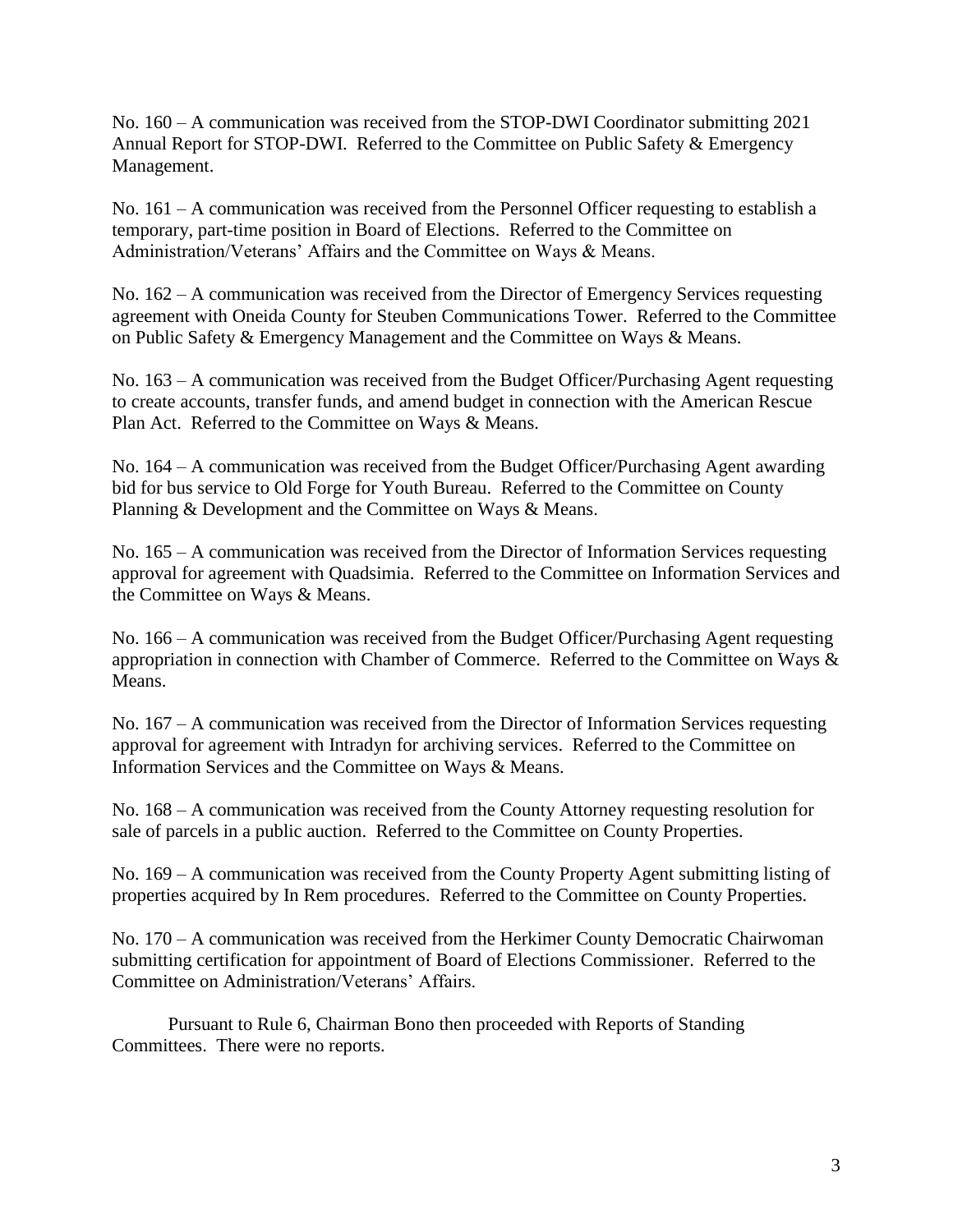No. 160 – A communication was received from the STOP-DWI Coordinator submitting 2021 Annual Report for STOP-DWI. Referred to the Committee on Public Safety & Emergency Management.

No. 161 – A communication was received from the Personnel Officer requesting to establish a temporary, part-time position in Board of Elections. Referred to the Committee on Administration/Veterans' Affairs and the Committee on Ways & Means.

No. 162 – A communication was received from the Director of Emergency Services requesting agreement with Oneida County for Steuben Communications Tower. Referred to the Committee on Public Safety & Emergency Management and the Committee on Ways & Means.

No. 163 – A communication was received from the Budget Officer/Purchasing Agent requesting to create accounts, transfer funds, and amend budget in connection with the American Rescue Plan Act. Referred to the Committee on Ways & Means.

No. 164 – A communication was received from the Budget Officer/Purchasing Agent awarding bid for bus service to Old Forge for Youth Bureau. Referred to the Committee on County Planning & Development and the Committee on Ways & Means.

No. 165 – A communication was received from the Director of Information Services requesting approval for agreement with Quadsimia. Referred to the Committee on Information Services and the Committee on Ways & Means.

No. 166 – A communication was received from the Budget Officer/Purchasing Agent requesting appropriation in connection with Chamber of Commerce. Referred to the Committee on Ways & Means.

No. 167 – A communication was received from the Director of Information Services requesting approval for agreement with Intradyn for archiving services. Referred to the Committee on Information Services and the Committee on Ways & Means.

No. 168 – A communication was received from the County Attorney requesting resolution for sale of parcels in a public auction. Referred to the Committee on County Properties.

No. 169 – A communication was received from the County Property Agent submitting listing of properties acquired by In Rem procedures. Referred to the Committee on County Properties.

No. 170 – A communication was received from the Herkimer County Democratic Chairwoman submitting certification for appointment of Board of Elections Commissioner. Referred to the Committee on Administration/Veterans' Affairs.

Pursuant to Rule 6, Chairman Bono then proceeded with Reports of Standing Committees. There were no reports.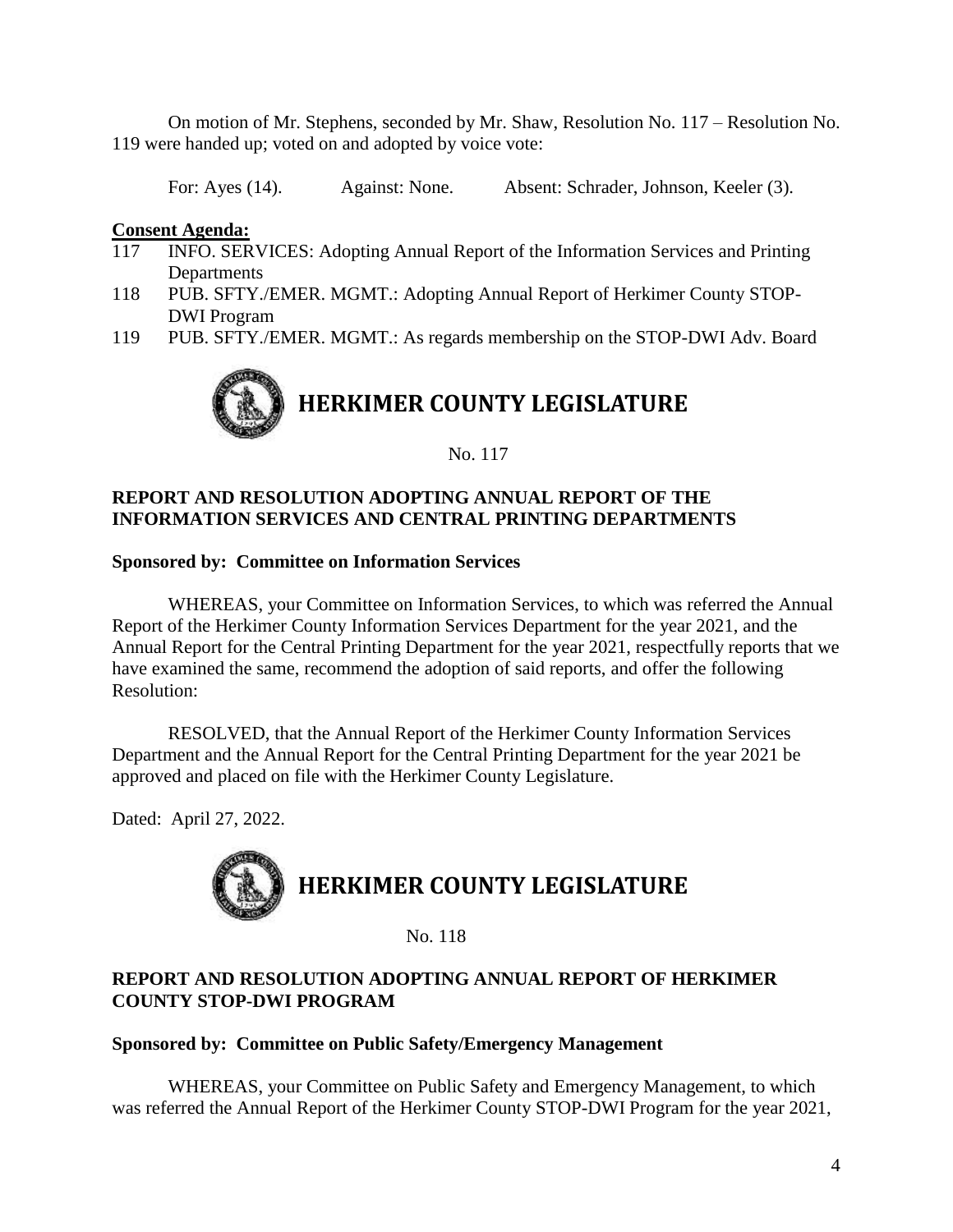On motion of Mr. Stephens, seconded by Mr. Shaw, Resolution No. 117 – Resolution No. 119 were handed up; voted on and adopted by voice vote:

For: Ayes (14). Against: None. Absent: Schrader, Johnson, Keeler (3).

### **Consent Agenda:**

- 117 INFO. SERVICES: Adopting Annual Report of the Information Services and Printing **Departments**
- 118 PUB. SFTY./EMER. MGMT.: Adopting Annual Report of Herkimer County STOP-DWI Program
- 119 PUB. SFTY./EMER. MGMT.: As regards membership on the STOP-DWI Adv. Board



No. 117

### **REPORT AND RESOLUTION ADOPTING ANNUAL REPORT OF THE INFORMATION SERVICES AND CENTRAL PRINTING DEPARTMENTS**

### **Sponsored by: Committee on Information Services**

WHEREAS, your Committee on Information Services, to which was referred the Annual Report of the Herkimer County Information Services Department for the year 2021, and the Annual Report for the Central Printing Department for the year 2021, respectfully reports that we have examined the same, recommend the adoption of said reports, and offer the following Resolution:

RESOLVED, that the Annual Report of the Herkimer County Information Services Department and the Annual Report for the Central Printing Department for the year 2021 be approved and placed on file with the Herkimer County Legislature.

Dated: April 27, 2022.



No. 118

### **REPORT AND RESOLUTION ADOPTING ANNUAL REPORT OF HERKIMER COUNTY STOP-DWI PROGRAM**

### **Sponsored by: Committee on Public Safety/Emergency Management**

WHEREAS, your Committee on Public Safety and Emergency Management, to which was referred the Annual Report of the Herkimer County STOP-DWI Program for the year 2021,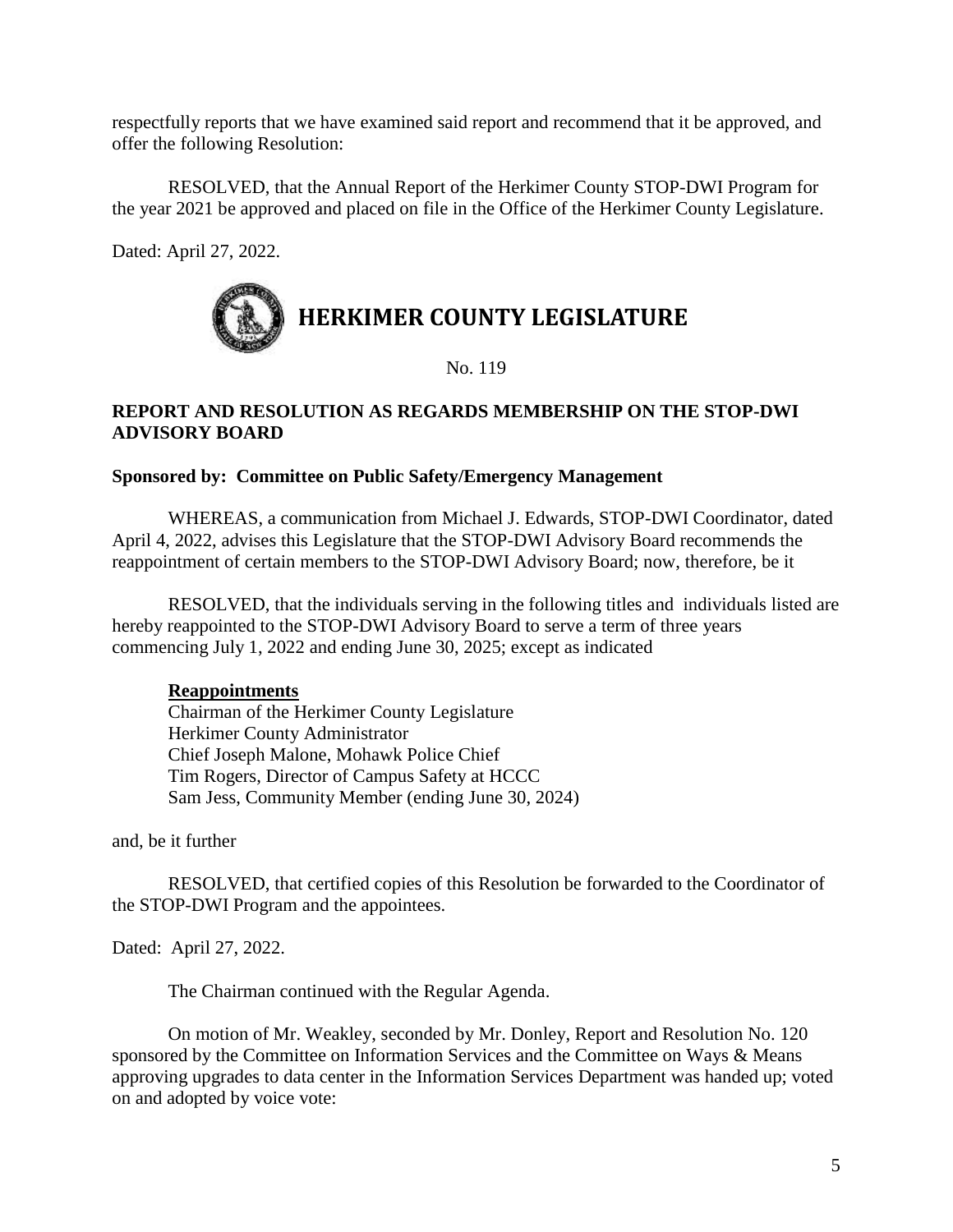respectfully reports that we have examined said report and recommend that it be approved, and offer the following Resolution:

RESOLVED, that the Annual Report of the Herkimer County STOP-DWI Program for the year 2021 be approved and placed on file in the Office of the Herkimer County Legislature.

Dated: April 27, 2022.

# **HERKIMER COUNTY LEGISLATURE**

No. 119

### **REPORT AND RESOLUTION AS REGARDS MEMBERSHIP ON THE STOP-DWI ADVISORY BOARD**

### **Sponsored by: Committee on Public Safety/Emergency Management**

WHEREAS, a communication from Michael J. Edwards, STOP-DWI Coordinator, dated April 4, 2022, advises this Legislature that the STOP-DWI Advisory Board recommends the reappointment of certain members to the STOP-DWI Advisory Board; now, therefore, be it

RESOLVED, that the individuals serving in the following titles and individuals listed are hereby reappointed to the STOP-DWI Advisory Board to serve a term of three years commencing July 1, 2022 and ending June 30, 2025; except as indicated

### **Reappointments**

Chairman of the Herkimer County Legislature Herkimer County Administrator Chief Joseph Malone, Mohawk Police Chief Tim Rogers, Director of Campus Safety at HCCC Sam Jess, Community Member (ending June 30, 2024)

and, be it further

RESOLVED, that certified copies of this Resolution be forwarded to the Coordinator of the STOP-DWI Program and the appointees.

Dated: April 27, 2022.

The Chairman continued with the Regular Agenda.

On motion of Mr. Weakley, seconded by Mr. Donley, Report and Resolution No. 120 sponsored by the Committee on Information Services and the Committee on Ways & Means approving upgrades to data center in the Information Services Department was handed up; voted on and adopted by voice vote: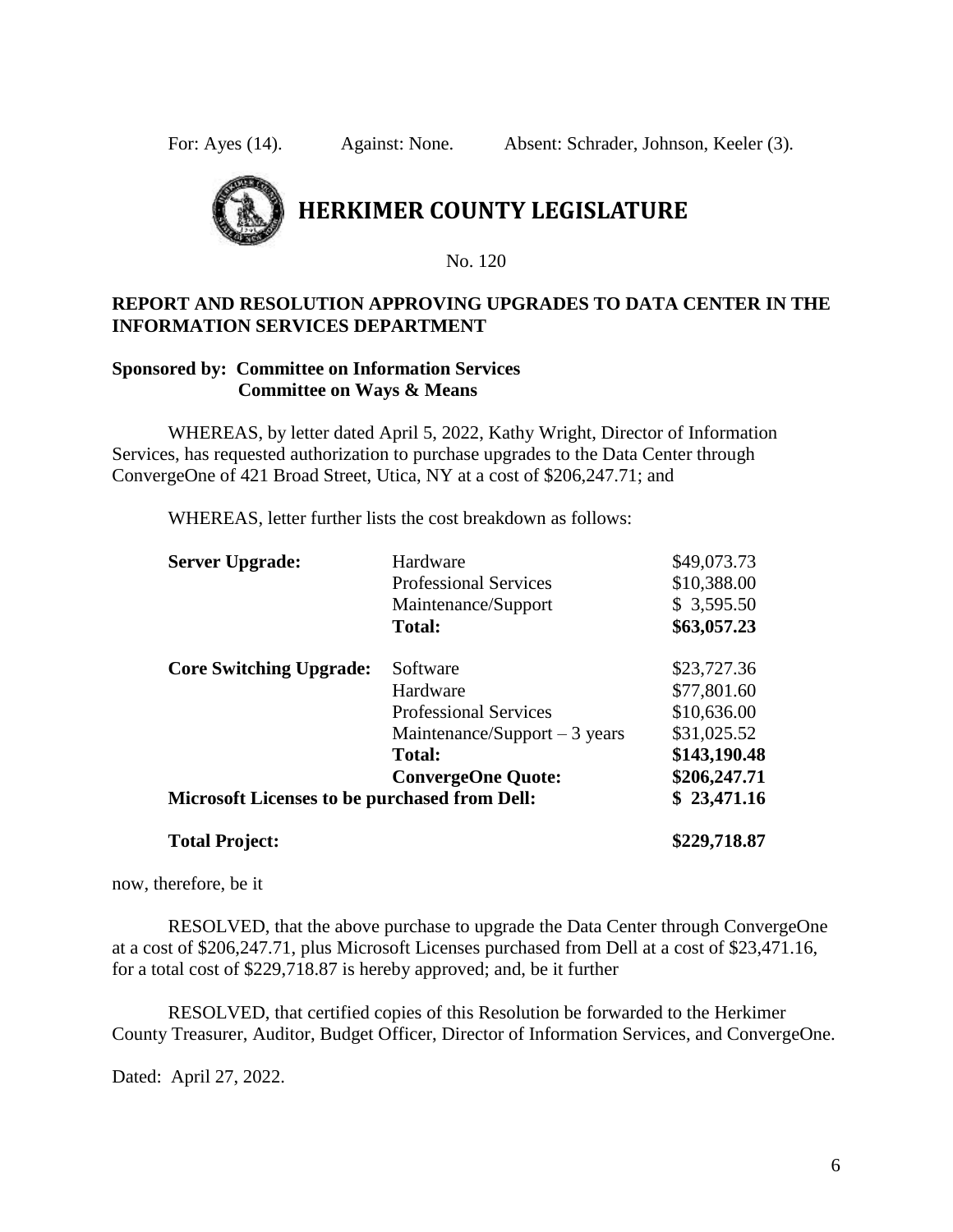

### **HERKIMER COUNTY LEGISLATURE**

No. 120

### **REPORT AND RESOLUTION APPROVING UPGRADES TO DATA CENTER IN THE INFORMATION SERVICES DEPARTMENT**

### **Sponsored by: Committee on Information Services Committee on Ways & Means**

WHEREAS, by letter dated April 5, 2022, Kathy Wright, Director of Information Services, has requested authorization to purchase upgrades to the Data Center through ConvergeOne of 421 Broad Street, Utica, NY at a cost of \$206,247.71; and

WHEREAS, letter further lists the cost breakdown as follows:

| <b>Server Upgrade:</b>                               | Hardware                       | \$49,073.73  |
|------------------------------------------------------|--------------------------------|--------------|
|                                                      | <b>Professional Services</b>   | \$10,388.00  |
|                                                      | Maintenance/Support            | \$3,595.50   |
|                                                      | <b>Total:</b>                  | \$63,057.23  |
| <b>Core Switching Upgrade:</b>                       | Software                       | \$23,727.36  |
|                                                      | Hardware                       | \$77,801.60  |
|                                                      | <b>Professional Services</b>   | \$10,636.00  |
|                                                      | Maintenance/Support $-3$ years | \$31,025.52  |
|                                                      | <b>Total:</b>                  | \$143,190.48 |
|                                                      | <b>ConvergeOne Quote:</b>      | \$206,247.71 |
| <b>Microsoft Licenses to be purchased from Dell:</b> |                                | \$23,471.16  |
|                                                      |                                |              |

**Total Project: \$229,718.87**

now, therefore, be it

RESOLVED, that the above purchase to upgrade the Data Center through ConvergeOne at a cost of \$206,247.71, plus Microsoft Licenses purchased from Dell at a cost of \$23,471.16, for a total cost of \$229,718.87 is hereby approved; and, be it further

RESOLVED, that certified copies of this Resolution be forwarded to the Herkimer County Treasurer, Auditor, Budget Officer, Director of Information Services, and ConvergeOne.

Dated: April 27, 2022.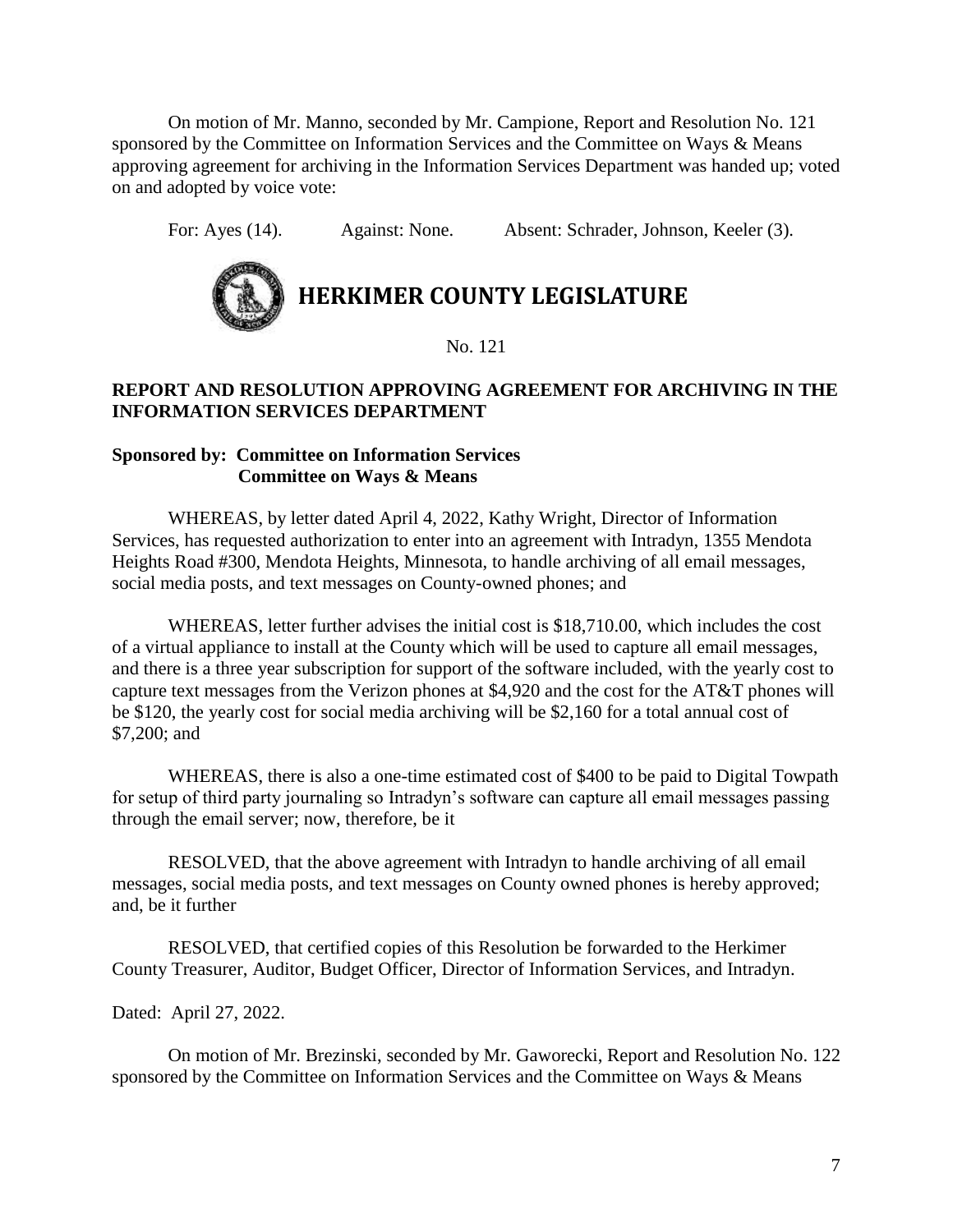On motion of Mr. Manno, seconded by Mr. Campione, Report and Resolution No. 121 sponsored by the Committee on Information Services and the Committee on Ways & Means approving agreement for archiving in the Information Services Department was handed up; voted on and adopted by voice vote:

For: Ayes (14). Against: None. Absent: Schrader, Johnson, Keeler (3).



No. 121

### **REPORT AND RESOLUTION APPROVING AGREEMENT FOR ARCHIVING IN THE INFORMATION SERVICES DEPARTMENT**

### **Sponsored by: Committee on Information Services Committee on Ways & Means**

WHEREAS, by letter dated April 4, 2022, Kathy Wright, Director of Information Services, has requested authorization to enter into an agreement with Intradyn, 1355 Mendota Heights Road #300, Mendota Heights, Minnesota, to handle archiving of all email messages, social media posts, and text messages on County-owned phones; and

WHEREAS, letter further advises the initial cost is \$18,710.00, which includes the cost of a virtual appliance to install at the County which will be used to capture all email messages, and there is a three year subscription for support of the software included, with the yearly cost to capture text messages from the Verizon phones at \$4,920 and the cost for the AT&T phones will be \$120, the yearly cost for social media archiving will be \$2,160 for a total annual cost of \$7,200; and

WHEREAS, there is also a one-time estimated cost of \$400 to be paid to Digital Towpath for setup of third party journaling so Intradyn's software can capture all email messages passing through the email server; now, therefore, be it

RESOLVED, that the above agreement with Intradyn to handle archiving of all email messages, social media posts, and text messages on County owned phones is hereby approved; and, be it further

RESOLVED, that certified copies of this Resolution be forwarded to the Herkimer County Treasurer, Auditor, Budget Officer, Director of Information Services, and Intradyn.

Dated: April 27, 2022.

On motion of Mr. Brezinski, seconded by Mr. Gaworecki, Report and Resolution No. 122 sponsored by the Committee on Information Services and the Committee on Ways & Means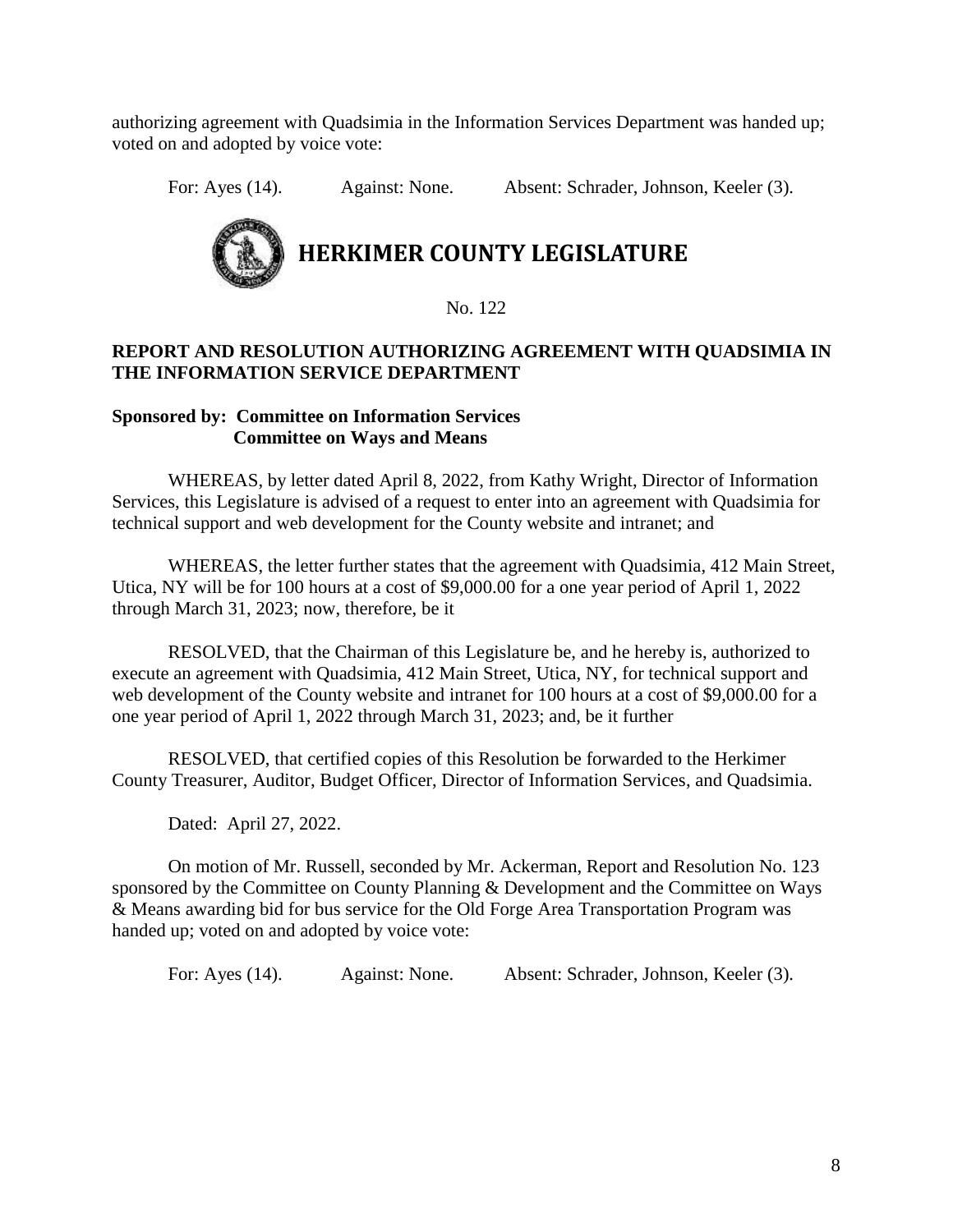authorizing agreement with Quadsimia in the Information Services Department was handed up; voted on and adopted by voice vote:

For: Ayes (14). Against: None. Absent: Schrader, Johnson, Keeler (3).



No. 122

### **REPORT AND RESOLUTION AUTHORIZING AGREEMENT WITH QUADSIMIA IN THE INFORMATION SERVICE DEPARTMENT**

### **Sponsored by: Committee on Information Services Committee on Ways and Means**

WHEREAS, by letter dated April 8, 2022, from Kathy Wright, Director of Information Services, this Legislature is advised of a request to enter into an agreement with Quadsimia for technical support and web development for the County website and intranet; and

WHEREAS, the letter further states that the agreement with Quadsimia, 412 Main Street, Utica, NY will be for 100 hours at a cost of \$9,000.00 for a one year period of April 1, 2022 through March 31, 2023; now, therefore, be it

RESOLVED, that the Chairman of this Legislature be, and he hereby is, authorized to execute an agreement with Quadsimia, 412 Main Street, Utica, NY, for technical support and web development of the County website and intranet for 100 hours at a cost of \$9,000.00 for a one year period of April 1, 2022 through March 31, 2023; and, be it further

RESOLVED, that certified copies of this Resolution be forwarded to the Herkimer County Treasurer, Auditor, Budget Officer, Director of Information Services, and Quadsimia.

Dated: April 27, 2022.

On motion of Mr. Russell, seconded by Mr. Ackerman, Report and Resolution No. 123 sponsored by the Committee on County Planning & Development and the Committee on Ways & Means awarding bid for bus service for the Old Forge Area Transportation Program was handed up; voted on and adopted by voice vote:

For: Ayes (14). Against: None. Absent: Schrader, Johnson, Keeler (3).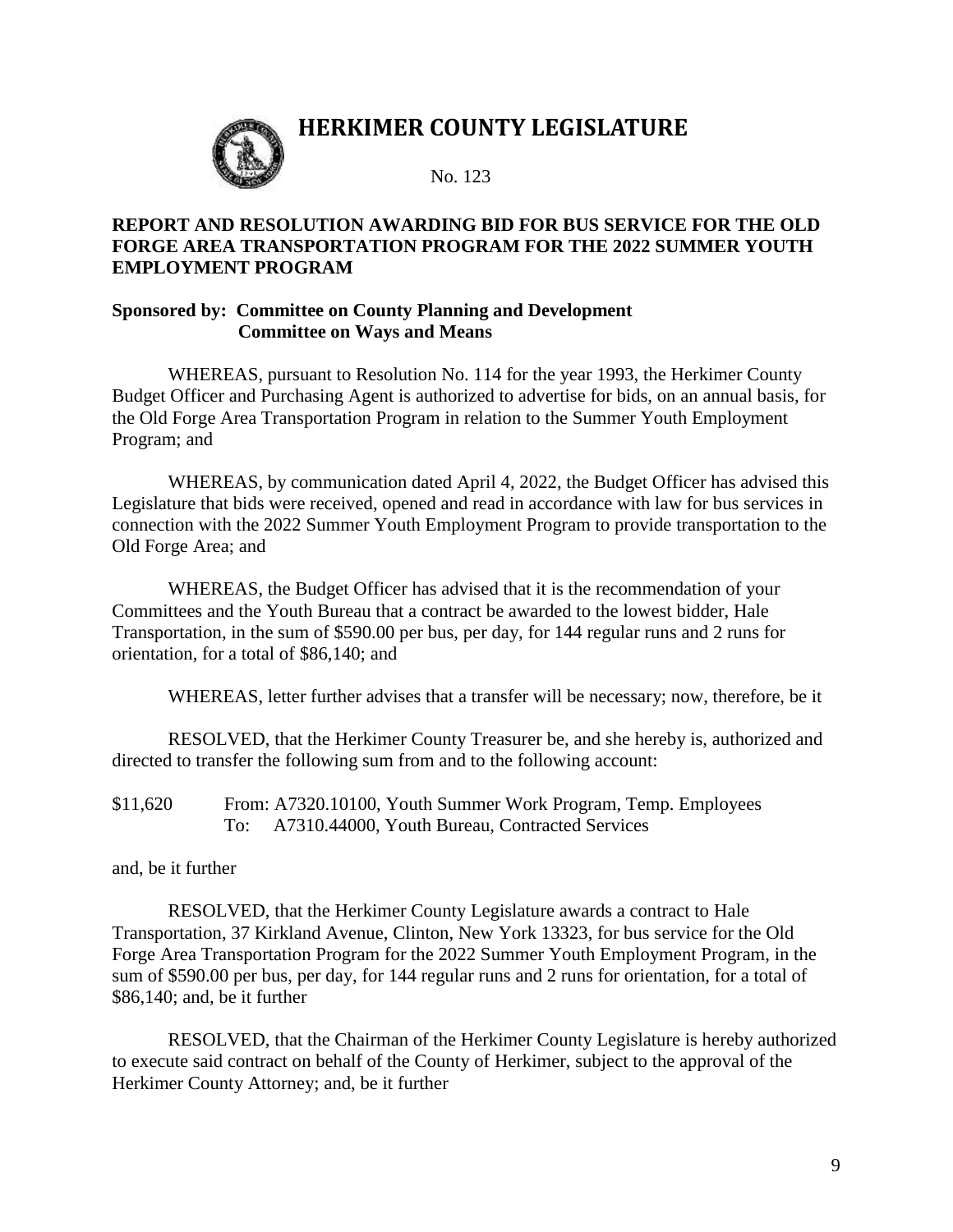**HERKIMER COUNTY LEGISLATURE**



No. 123

### **REPORT AND RESOLUTION AWARDING BID FOR BUS SERVICE FOR THE OLD FORGE AREA TRANSPORTATION PROGRAM FOR THE 2022 SUMMER YOUTH EMPLOYMENT PROGRAM**

### **Sponsored by: Committee on County Planning and Development Committee on Ways and Means**

WHEREAS, pursuant to Resolution No. 114 for the year 1993, the Herkimer County Budget Officer and Purchasing Agent is authorized to advertise for bids, on an annual basis, for the Old Forge Area Transportation Program in relation to the Summer Youth Employment Program; and

WHEREAS, by communication dated April 4, 2022, the Budget Officer has advised this Legislature that bids were received, opened and read in accordance with law for bus services in connection with the 2022 Summer Youth Employment Program to provide transportation to the Old Forge Area; and

WHEREAS, the Budget Officer has advised that it is the recommendation of your Committees and the Youth Bureau that a contract be awarded to the lowest bidder, Hale Transportation, in the sum of \$590.00 per bus, per day, for 144 regular runs and 2 runs for orientation, for a total of \$86,140; and

WHEREAS, letter further advises that a transfer will be necessary; now, therefore, be it

RESOLVED, that the Herkimer County Treasurer be, and she hereby is, authorized and directed to transfer the following sum from and to the following account:

\$11,620 From: A7320.10100, Youth Summer Work Program, Temp. Employees To: A7310.44000, Youth Bureau, Contracted Services

and, be it further

RESOLVED, that the Herkimer County Legislature awards a contract to Hale Transportation, 37 Kirkland Avenue, Clinton, New York 13323, for bus service for the Old Forge Area Transportation Program for the 2022 Summer Youth Employment Program, in the sum of \$590.00 per bus, per day, for 144 regular runs and 2 runs for orientation, for a total of \$86,140; and, be it further

RESOLVED, that the Chairman of the Herkimer County Legislature is hereby authorized to execute said contract on behalf of the County of Herkimer, subject to the approval of the Herkimer County Attorney; and, be it further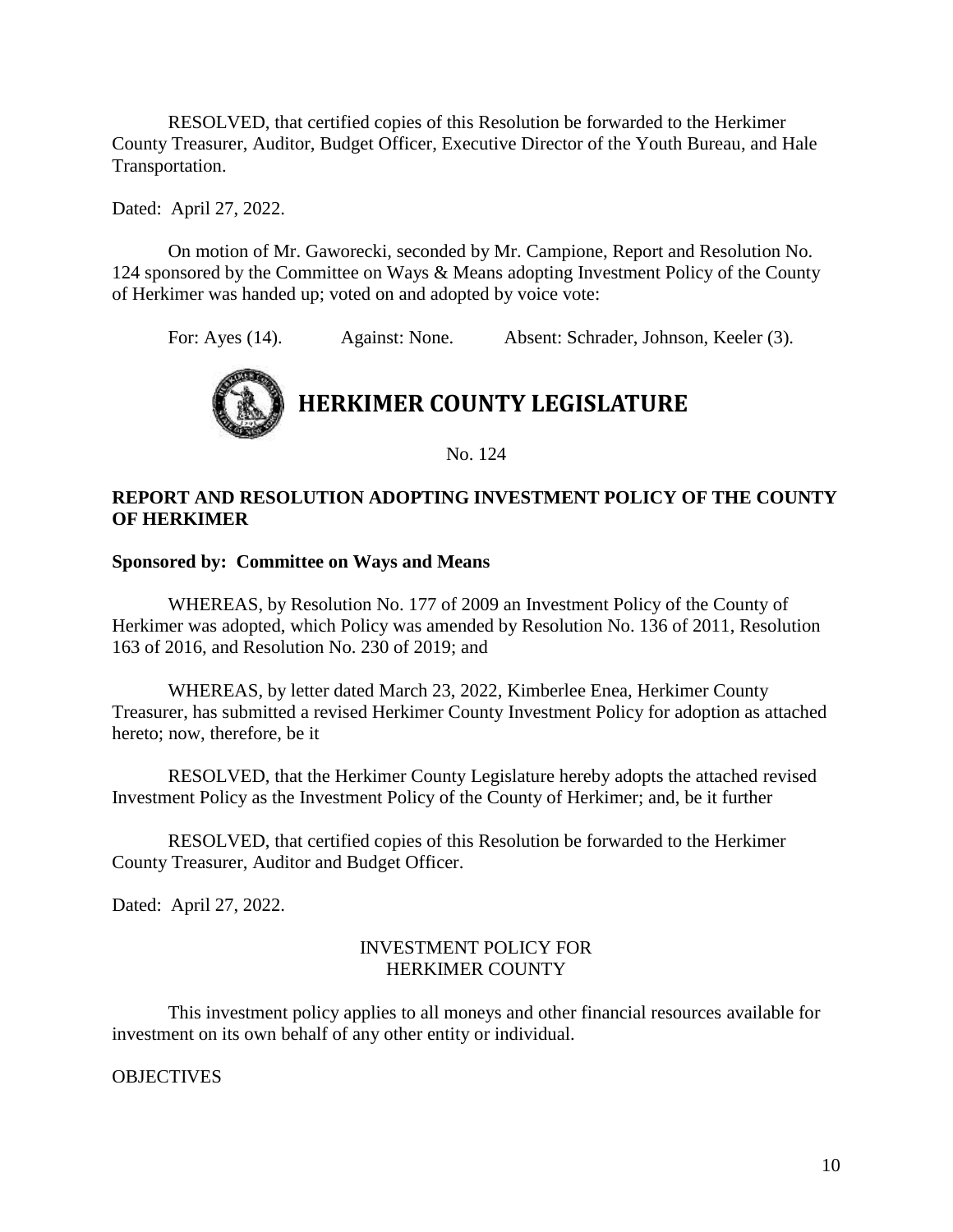RESOLVED, that certified copies of this Resolution be forwarded to the Herkimer County Treasurer, Auditor, Budget Officer, Executive Director of the Youth Bureau, and Hale Transportation.

Dated: April 27, 2022.

On motion of Mr. Gaworecki, seconded by Mr. Campione, Report and Resolution No. 124 sponsored by the Committee on Ways & Means adopting Investment Policy of the County of Herkimer was handed up; voted on and adopted by voice vote:

For: Ayes (14). Against: None. Absent: Schrader, Johnson, Keeler (3).



No. 124

### **REPORT AND RESOLUTION ADOPTING INVESTMENT POLICY OF THE COUNTY OF HERKIMER**

### **Sponsored by: Committee on Ways and Means**

WHEREAS, by Resolution No. 177 of 2009 an Investment Policy of the County of Herkimer was adopted, which Policy was amended by Resolution No. 136 of 2011, Resolution 163 of 2016, and Resolution No. 230 of 2019; and

WHEREAS, by letter dated March 23, 2022, Kimberlee Enea, Herkimer County Treasurer, has submitted a revised Herkimer County Investment Policy for adoption as attached hereto; now, therefore, be it

RESOLVED, that the Herkimer County Legislature hereby adopts the attached revised Investment Policy as the Investment Policy of the County of Herkimer; and, be it further

RESOLVED, that certified copies of this Resolution be forwarded to the Herkimer County Treasurer, Auditor and Budget Officer.

Dated: April 27, 2022.

### INVESTMENT POLICY FOR HERKIMER COUNTY

This investment policy applies to all moneys and other financial resources available for investment on its own behalf of any other entity or individual.

**OBJECTIVES**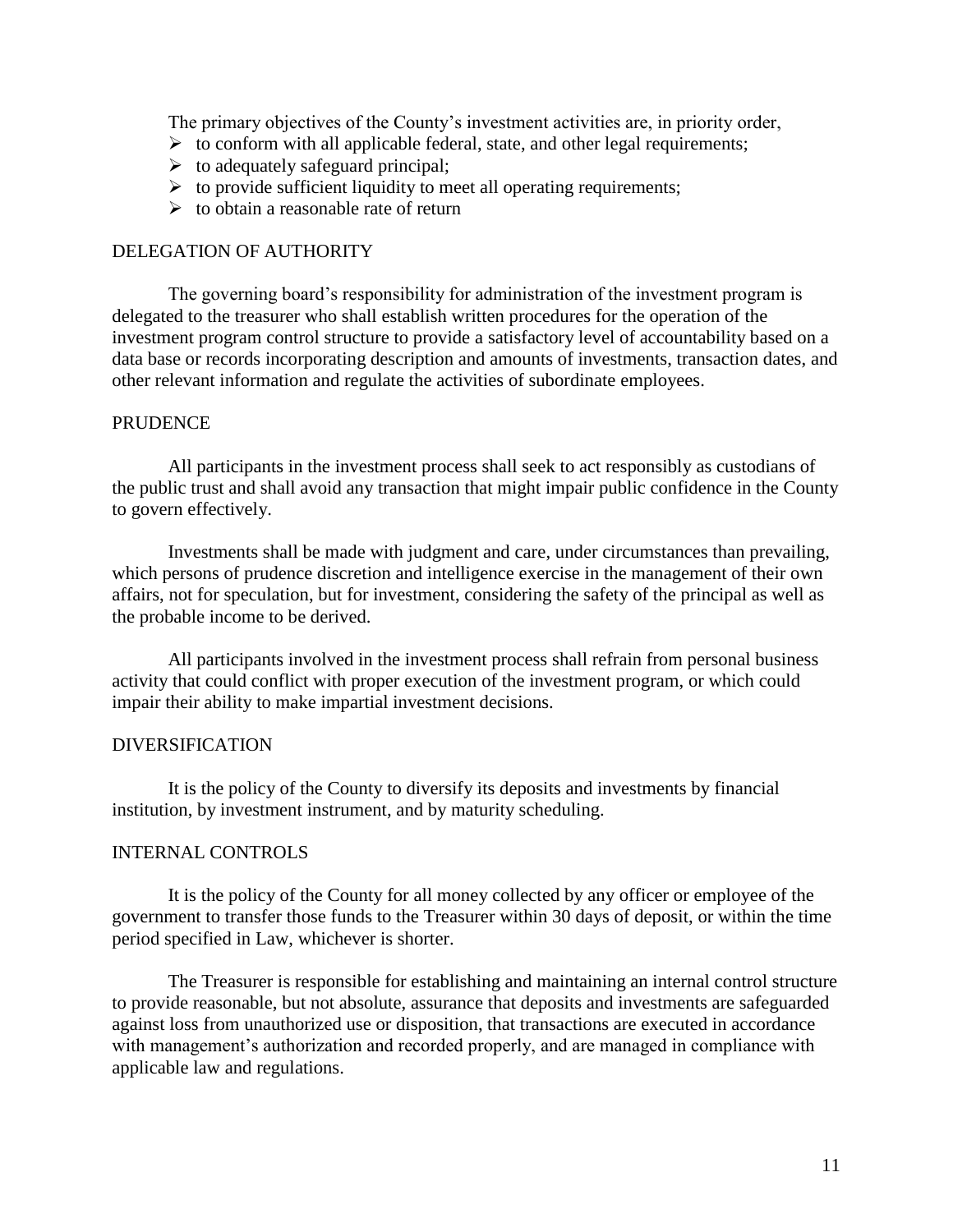The primary objectives of the County's investment activities are, in priority order,

- $\triangleright$  to conform with all applicable federal, state, and other legal requirements;
- $\triangleright$  to adequately safeguard principal;
- $\triangleright$  to provide sufficient liquidity to meet all operating requirements;
- $\triangleright$  to obtain a reasonable rate of return

### DELEGATION OF AUTHORITY

The governing board's responsibility for administration of the investment program is delegated to the treasurer who shall establish written procedures for the operation of the investment program control structure to provide a satisfactory level of accountability based on a data base or records incorporating description and amounts of investments, transaction dates, and other relevant information and regulate the activities of subordinate employees.

### PRUDENCE

All participants in the investment process shall seek to act responsibly as custodians of the public trust and shall avoid any transaction that might impair public confidence in the County to govern effectively.

Investments shall be made with judgment and care, under circumstances than prevailing, which persons of prudence discretion and intelligence exercise in the management of their own affairs, not for speculation, but for investment, considering the safety of the principal as well as the probable income to be derived.

All participants involved in the investment process shall refrain from personal business activity that could conflict with proper execution of the investment program, or which could impair their ability to make impartial investment decisions.

### DIVERSIFICATION

It is the policy of the County to diversify its deposits and investments by financial institution, by investment instrument, and by maturity scheduling.

#### INTERNAL CONTROLS

It is the policy of the County for all money collected by any officer or employee of the government to transfer those funds to the Treasurer within 30 days of deposit, or within the time period specified in Law, whichever is shorter.

The Treasurer is responsible for establishing and maintaining an internal control structure to provide reasonable, but not absolute, assurance that deposits and investments are safeguarded against loss from unauthorized use or disposition, that transactions are executed in accordance with management's authorization and recorded properly, and are managed in compliance with applicable law and regulations.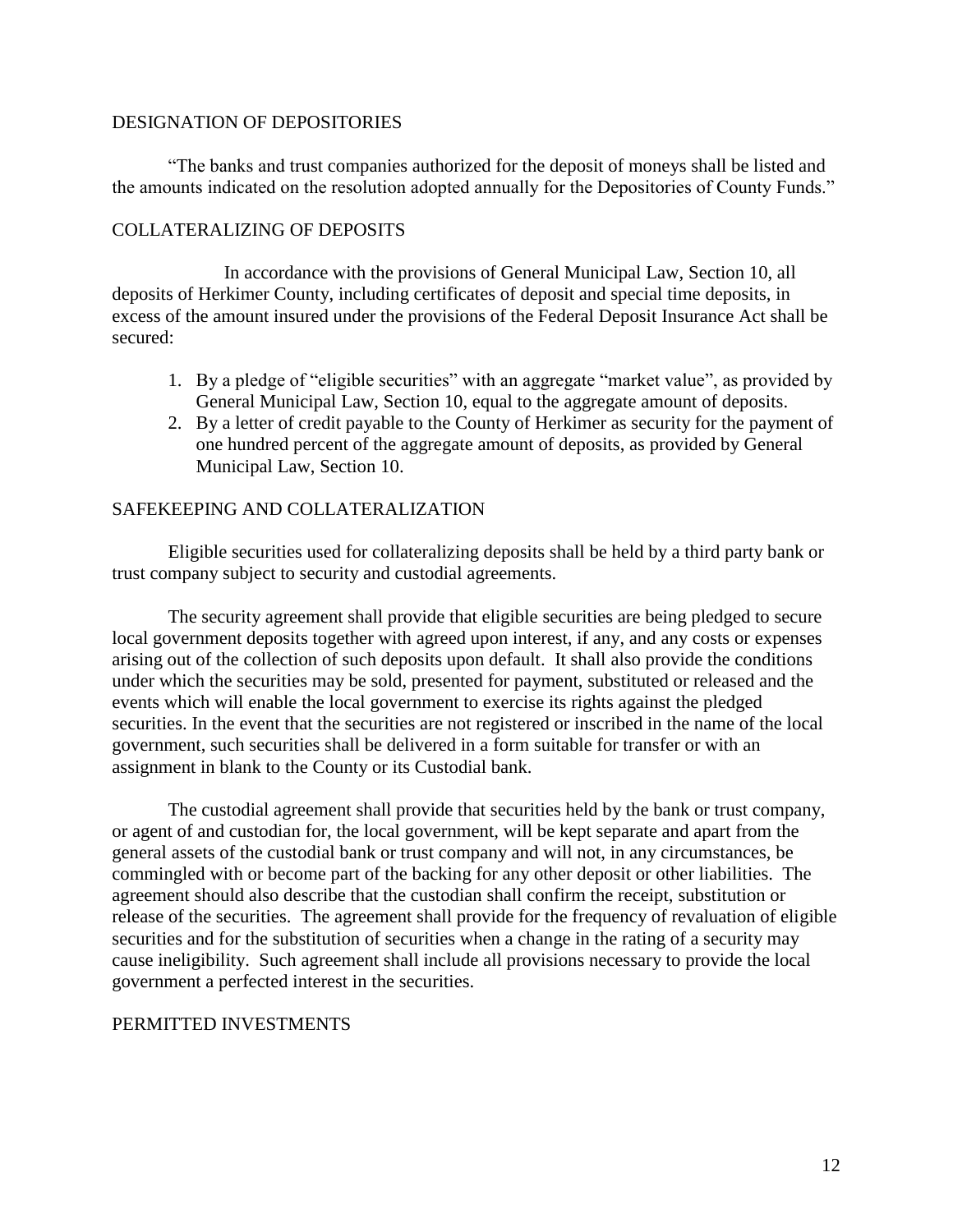### DESIGNATION OF DEPOSITORIES

"The banks and trust companies authorized for the deposit of moneys shall be listed and the amounts indicated on the resolution adopted annually for the Depositories of County Funds."

### COLLATERALIZING OF DEPOSITS

In accordance with the provisions of General Municipal Law, Section 10, all deposits of Herkimer County, including certificates of deposit and special time deposits, in excess of the amount insured under the provisions of the Federal Deposit Insurance Act shall be secured:

- 1. By a pledge of "eligible securities" with an aggregate "market value", as provided by General Municipal Law, Section 10, equal to the aggregate amount of deposits.
- 2. By a letter of credit payable to the County of Herkimer as security for the payment of one hundred percent of the aggregate amount of deposits, as provided by General Municipal Law, Section 10.

### SAFEKEEPING AND COLLATERALIZATION

Eligible securities used for collateralizing deposits shall be held by a third party bank or trust company subject to security and custodial agreements.

The security agreement shall provide that eligible securities are being pledged to secure local government deposits together with agreed upon interest, if any, and any costs or expenses arising out of the collection of such deposits upon default. It shall also provide the conditions under which the securities may be sold, presented for payment, substituted or released and the events which will enable the local government to exercise its rights against the pledged securities. In the event that the securities are not registered or inscribed in the name of the local government, such securities shall be delivered in a form suitable for transfer or with an assignment in blank to the County or its Custodial bank.

The custodial agreement shall provide that securities held by the bank or trust company, or agent of and custodian for, the local government, will be kept separate and apart from the general assets of the custodial bank or trust company and will not, in any circumstances, be commingled with or become part of the backing for any other deposit or other liabilities. The agreement should also describe that the custodian shall confirm the receipt, substitution or release of the securities. The agreement shall provide for the frequency of revaluation of eligible securities and for the substitution of securities when a change in the rating of a security may cause ineligibility. Such agreement shall include all provisions necessary to provide the local government a perfected interest in the securities.

### PERMITTED INVESTMENTS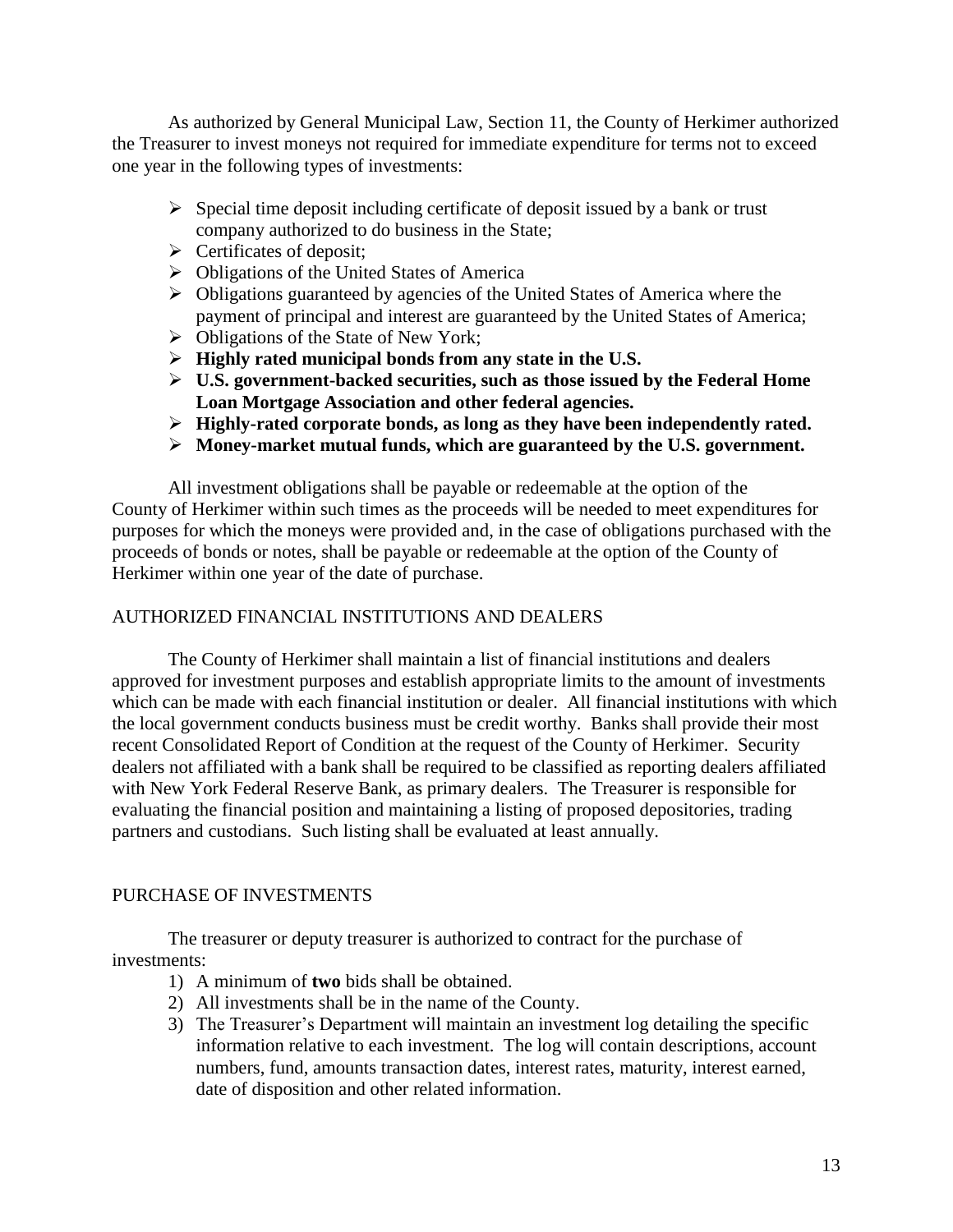As authorized by General Municipal Law, Section 11, the County of Herkimer authorized the Treasurer to invest moneys not required for immediate expenditure for terms not to exceed one year in the following types of investments:

- $\triangleright$  Special time deposit including certificate of deposit issued by a bank or trust company authorized to do business in the State;
- $\triangleright$  Certificates of deposit;
- Obligations of the United States of America
- Obligations guaranteed by agencies of the United States of America where the payment of principal and interest are guaranteed by the United States of America;
- $\triangleright$  Obligations of the State of New York;
- **Highly rated municipal bonds from any state in the U.S.**
- **U.S. government-backed securities, such as those issued by the Federal Home Loan Mortgage Association and other federal agencies.**
- **Highly-rated corporate bonds, as long as they have been independently rated.**
- **Money-market mutual funds, which are guaranteed by the U.S. government.**

All investment obligations shall be payable or redeemable at the option of the County of Herkimer within such times as the proceeds will be needed to meet expenditures for purposes for which the moneys were provided and, in the case of obligations purchased with the proceeds of bonds or notes, shall be payable or redeemable at the option of the County of Herkimer within one year of the date of purchase.

### AUTHORIZED FINANCIAL INSTITUTIONS AND DEALERS

The County of Herkimer shall maintain a list of financial institutions and dealers approved for investment purposes and establish appropriate limits to the amount of investments which can be made with each financial institution or dealer. All financial institutions with which the local government conducts business must be credit worthy. Banks shall provide their most recent Consolidated Report of Condition at the request of the County of Herkimer. Security dealers not affiliated with a bank shall be required to be classified as reporting dealers affiliated with New York Federal Reserve Bank, as primary dealers. The Treasurer is responsible for evaluating the financial position and maintaining a listing of proposed depositories, trading partners and custodians. Such listing shall be evaluated at least annually.

### PURCHASE OF INVESTMENTS

The treasurer or deputy treasurer is authorized to contract for the purchase of investments:

- 1) A minimum of **two** bids shall be obtained.
- 2) All investments shall be in the name of the County.
- 3) The Treasurer's Department will maintain an investment log detailing the specific information relative to each investment. The log will contain descriptions, account numbers, fund, amounts transaction dates, interest rates, maturity, interest earned, date of disposition and other related information.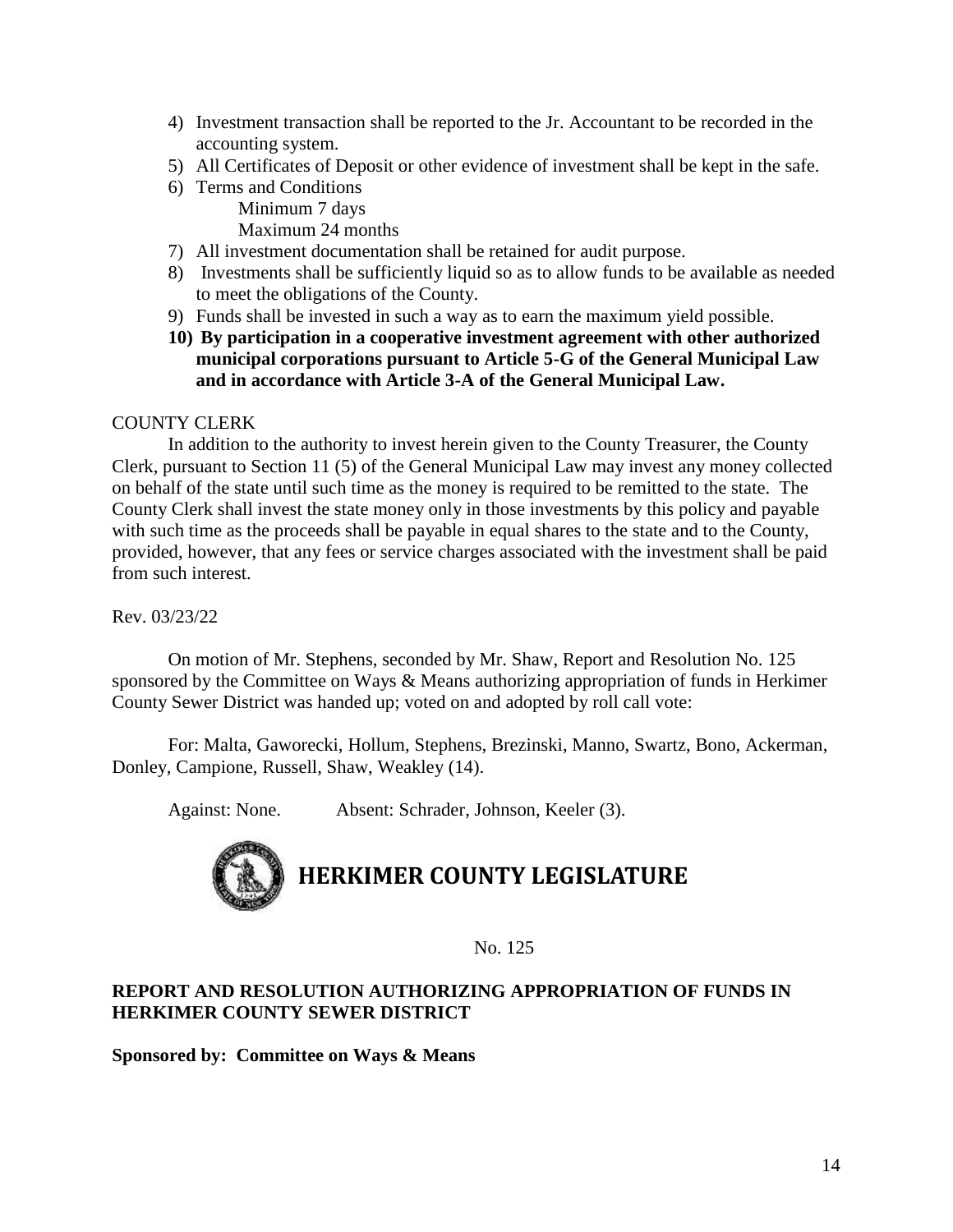- 4) Investment transaction shall be reported to the Jr. Accountant to be recorded in the accounting system.
- 5) All Certificates of Deposit or other evidence of investment shall be kept in the safe.
- 6) Terms and Conditions Minimum 7 days
	- Maximum 24 months
- 7) All investment documentation shall be retained for audit purpose.
- 8) Investments shall be sufficiently liquid so as to allow funds to be available as needed to meet the obligations of the County.
- 9) Funds shall be invested in such a way as to earn the maximum yield possible.
- **10) By participation in a cooperative investment agreement with other authorized municipal corporations pursuant to Article 5-G of the General Municipal Law and in accordance with Article 3-A of the General Municipal Law.**

### COUNTY CLERK

In addition to the authority to invest herein given to the County Treasurer, the County Clerk, pursuant to Section 11 (5) of the General Municipal Law may invest any money collected on behalf of the state until such time as the money is required to be remitted to the state. The County Clerk shall invest the state money only in those investments by this policy and payable with such time as the proceeds shall be payable in equal shares to the state and to the County, provided, however, that any fees or service charges associated with the investment shall be paid from such interest.

Rev. 03/23/22

On motion of Mr. Stephens, seconded by Mr. Shaw, Report and Resolution No. 125 sponsored by the Committee on Ways & Means authorizing appropriation of funds in Herkimer County Sewer District was handed up; voted on and adopted by roll call vote:

For: Malta, Gaworecki, Hollum, Stephens, Brezinski, Manno, Swartz, Bono, Ackerman, Donley, Campione, Russell, Shaw, Weakley (14).

Against: None. Absent: Schrader, Johnson, Keeler (3).



### **HERKIMER COUNTY LEGISLATURE**

No. 125

### **REPORT AND RESOLUTION AUTHORIZING APPROPRIATION OF FUNDS IN HERKIMER COUNTY SEWER DISTRICT**

**Sponsored by: Committee on Ways & Means**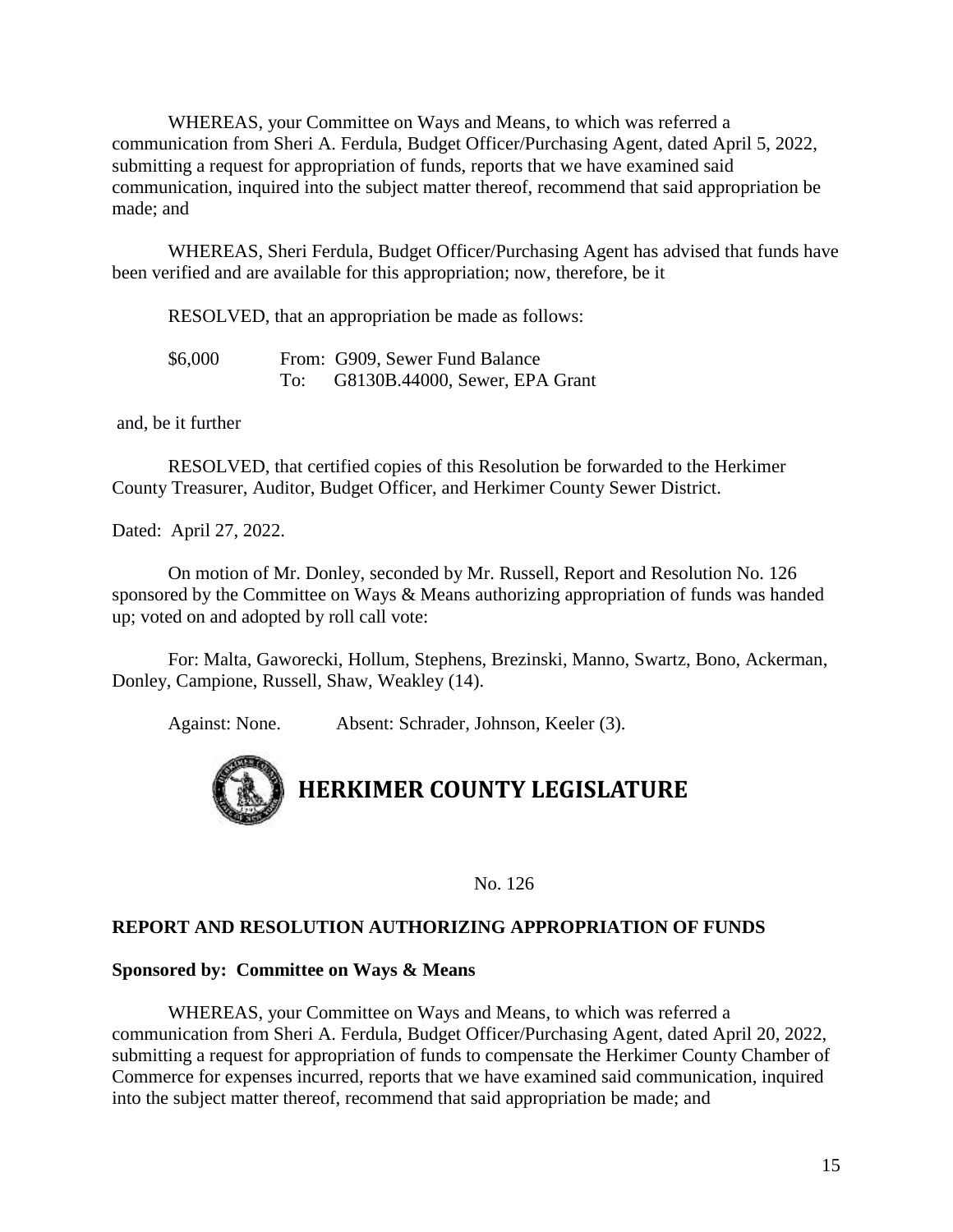WHEREAS, your Committee on Ways and Means, to which was referred a communication from Sheri A. Ferdula, Budget Officer/Purchasing Agent, dated April 5, 2022, submitting a request for appropriation of funds, reports that we have examined said communication, inquired into the subject matter thereof, recommend that said appropriation be made; and

WHEREAS, Sheri Ferdula, Budget Officer/Purchasing Agent has advised that funds have been verified and are available for this appropriation; now, therefore, be it

RESOLVED, that an appropriation be made as follows:

| \$6,000 | From: G909, Sewer Fund Balance |
|---------|--------------------------------|
|         | G8130B.44000, Sewer, EPA Grant |

and, be it further

RESOLVED, that certified copies of this Resolution be forwarded to the Herkimer County Treasurer, Auditor, Budget Officer, and Herkimer County Sewer District.

Dated: April 27, 2022.

On motion of Mr. Donley, seconded by Mr. Russell, Report and Resolution No. 126 sponsored by the Committee on Ways & Means authorizing appropriation of funds was handed up; voted on and adopted by roll call vote:

For: Malta, Gaworecki, Hollum, Stephens, Brezinski, Manno, Swartz, Bono, Ackerman, Donley, Campione, Russell, Shaw, Weakley (14).

Against: None. Absent: Schrader, Johnson, Keeler (3).

## **HERKIMER COUNTY LEGISLATURE**

No. 126

### **REPORT AND RESOLUTION AUTHORIZING APPROPRIATION OF FUNDS**

### **Sponsored by: Committee on Ways & Means**

WHEREAS, your Committee on Ways and Means, to which was referred a communication from Sheri A. Ferdula, Budget Officer/Purchasing Agent, dated April 20, 2022, submitting a request for appropriation of funds to compensate the Herkimer County Chamber of Commerce for expenses incurred, reports that we have examined said communication, inquired into the subject matter thereof, recommend that said appropriation be made; and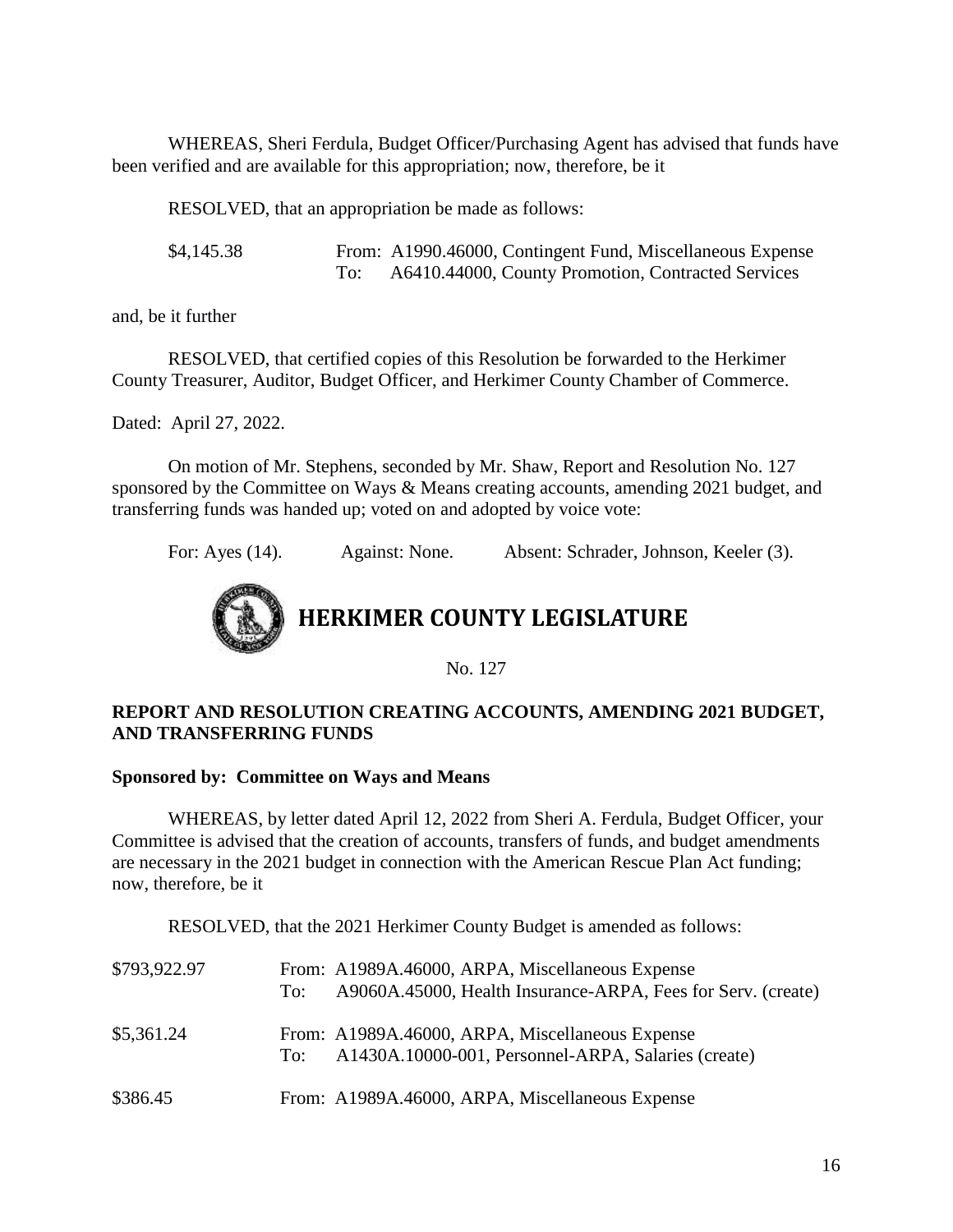WHEREAS, Sheri Ferdula, Budget Officer/Purchasing Agent has advised that funds have been verified and are available for this appropriation; now, therefore, be it

RESOLVED, that an appropriation be made as follows:

| \$4,145.38 | From: A1990.46000, Contingent Fund, Miscellaneous Expense |
|------------|-----------------------------------------------------------|
|            | A6410.44000, County Promotion, Contracted Services        |

and, be it further

RESOLVED, that certified copies of this Resolution be forwarded to the Herkimer County Treasurer, Auditor, Budget Officer, and Herkimer County Chamber of Commerce.

Dated: April 27, 2022.

On motion of Mr. Stephens, seconded by Mr. Shaw, Report and Resolution No. 127 sponsored by the Committee on Ways & Means creating accounts, amending 2021 budget, and transferring funds was handed up; voted on and adopted by voice vote:

For: Ayes (14). Against: None. Absent: Schrader, Johnson, Keeler (3).



No. 127

### **REPORT AND RESOLUTION CREATING ACCOUNTS, AMENDING 2021 BUDGET, AND TRANSFERRING FUNDS**

### **Sponsored by: Committee on Ways and Means**

WHEREAS, by letter dated April 12, 2022 from Sheri A. Ferdula, Budget Officer, your Committee is advised that the creation of accounts, transfers of funds, and budget amendments are necessary in the 2021 budget in connection with the American Rescue Plan Act funding; now, therefore, be it

RESOLVED, that the 2021 Herkimer County Budget is amended as follows:

| \$793,922.97 | From: A1989A.46000, ARPA, Miscellaneous Expense<br>A9060A.45000, Health Insurance-ARPA, Fees for Serv. (create)<br>To: |
|--------------|------------------------------------------------------------------------------------------------------------------------|
| \$5,361.24   | From: A1989A.46000, ARPA, Miscellaneous Expense<br>A1430A.10000-001, Personnel-ARPA, Salaries (create)<br>To:          |
| \$386.45     | From: A1989A.46000, ARPA, Miscellaneous Expense                                                                        |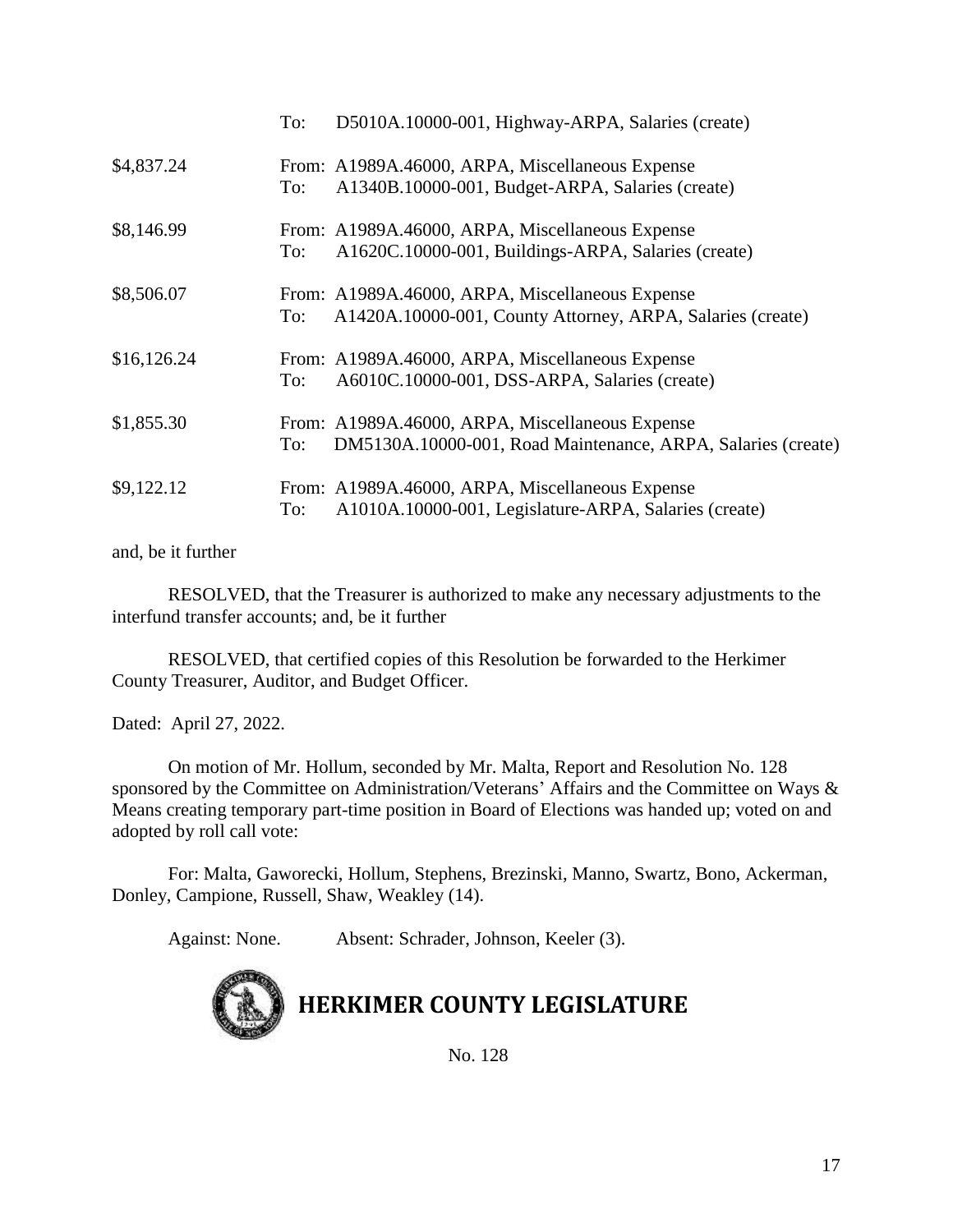|             | To: | D5010A.10000-001, Highway-ARPA, Salaries (create)                                                               |
|-------------|-----|-----------------------------------------------------------------------------------------------------------------|
| \$4,837.24  | To: | From: A1989A.46000, ARPA, Miscellaneous Expense<br>A1340B.10000-001, Budget-ARPA, Salaries (create)             |
| \$8,146.99  | To: | From: A1989A.46000, ARPA, Miscellaneous Expense<br>A1620C.10000-001, Buildings-ARPA, Salaries (create)          |
| \$8,506.07  | To: | From: A1989A.46000, ARPA, Miscellaneous Expense<br>A1420A.10000-001, County Attorney, ARPA, Salaries (create)   |
| \$16,126.24 | To: | From: A1989A.46000, ARPA, Miscellaneous Expense<br>A6010C.10000-001, DSS-ARPA, Salaries (create)                |
| \$1,855.30  | To: | From: A1989A.46000, ARPA, Miscellaneous Expense<br>DM5130A.10000-001, Road Maintenance, ARPA, Salaries (create) |
| \$9,122.12  | To: | From: A1989A.46000, ARPA, Miscellaneous Expense<br>A1010A.10000-001, Legislature-ARPA, Salaries (create)        |

and, be it further

RESOLVED, that the Treasurer is authorized to make any necessary adjustments to the interfund transfer accounts; and, be it further

RESOLVED, that certified copies of this Resolution be forwarded to the Herkimer County Treasurer, Auditor, and Budget Officer.

Dated: April 27, 2022.

On motion of Mr. Hollum, seconded by Mr. Malta, Report and Resolution No. 128 sponsored by the Committee on Administration/Veterans' Affairs and the Committee on Ways & Means creating temporary part-time position in Board of Elections was handed up; voted on and adopted by roll call vote:

For: Malta, Gaworecki, Hollum, Stephens, Brezinski, Manno, Swartz, Bono, Ackerman, Donley, Campione, Russell, Shaw, Weakley (14).

Against: None. Absent: Schrader, Johnson, Keeler (3).



No. 128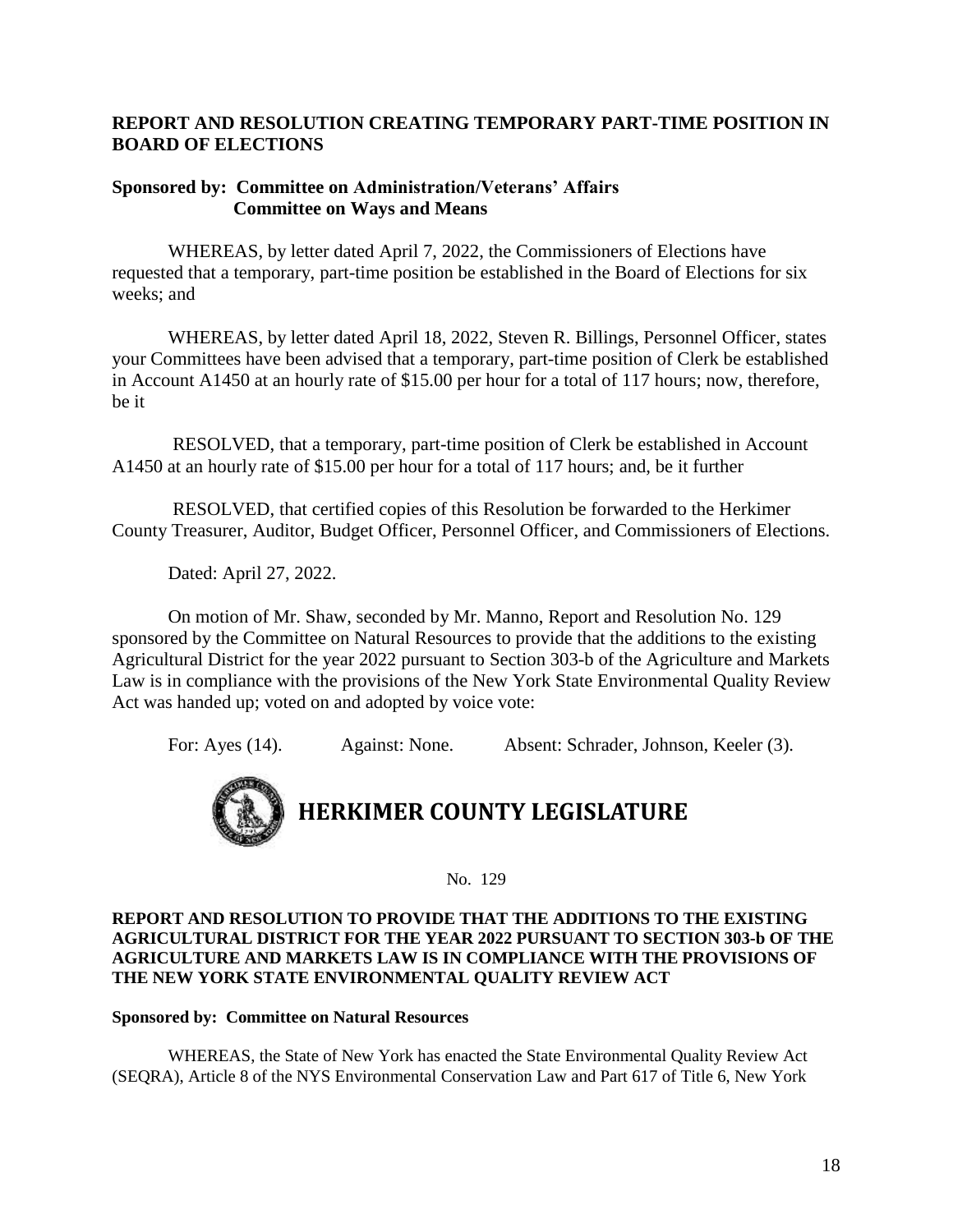### **REPORT AND RESOLUTION CREATING TEMPORARY PART-TIME POSITION IN BOARD OF ELECTIONS**

### **Sponsored by: Committee on Administration/Veterans' Affairs Committee on Ways and Means**

WHEREAS, by letter dated April 7, 2022, the Commissioners of Elections have requested that a temporary, part-time position be established in the Board of Elections for six weeks; and

WHEREAS, by letter dated April 18, 2022, Steven R. Billings, Personnel Officer, states your Committees have been advised that a temporary, part-time position of Clerk be established in Account A1450 at an hourly rate of \$15.00 per hour for a total of 117 hours; now, therefore, be it

RESOLVED, that a temporary, part-time position of Clerk be established in Account A1450 at an hourly rate of \$15.00 per hour for a total of 117 hours; and, be it further

RESOLVED, that certified copies of this Resolution be forwarded to the Herkimer County Treasurer, Auditor, Budget Officer, Personnel Officer, and Commissioners of Elections.

Dated: April 27, 2022.

On motion of Mr. Shaw, seconded by Mr. Manno, Report and Resolution No. 129 sponsored by the Committee on Natural Resources to provide that the additions to the existing Agricultural District for the year 2022 pursuant to Section 303-b of the Agriculture and Markets Law is in compliance with the provisions of the New York State Environmental Quality Review Act was handed up; voted on and adopted by voice vote:

For: Ayes (14). Against: None. Absent: Schrader, Johnson, Keeler (3).



### **HERKIMER COUNTY LEGISLATURE**

No. 129

### **REPORT AND RESOLUTION TO PROVIDE THAT THE ADDITIONS TO THE EXISTING AGRICULTURAL DISTRICT FOR THE YEAR 2022 PURSUANT TO SECTION 303-b OF THE AGRICULTURE AND MARKETS LAW IS IN COMPLIANCE WITH THE PROVISIONS OF THE NEW YORK STATE ENVIRONMENTAL QUALITY REVIEW ACT**

#### **Sponsored by: Committee on Natural Resources**

WHEREAS, the State of New York has enacted the State Environmental Quality Review Act (SEQRA), Article 8 of the NYS Environmental Conservation Law and Part 617 of Title 6, New York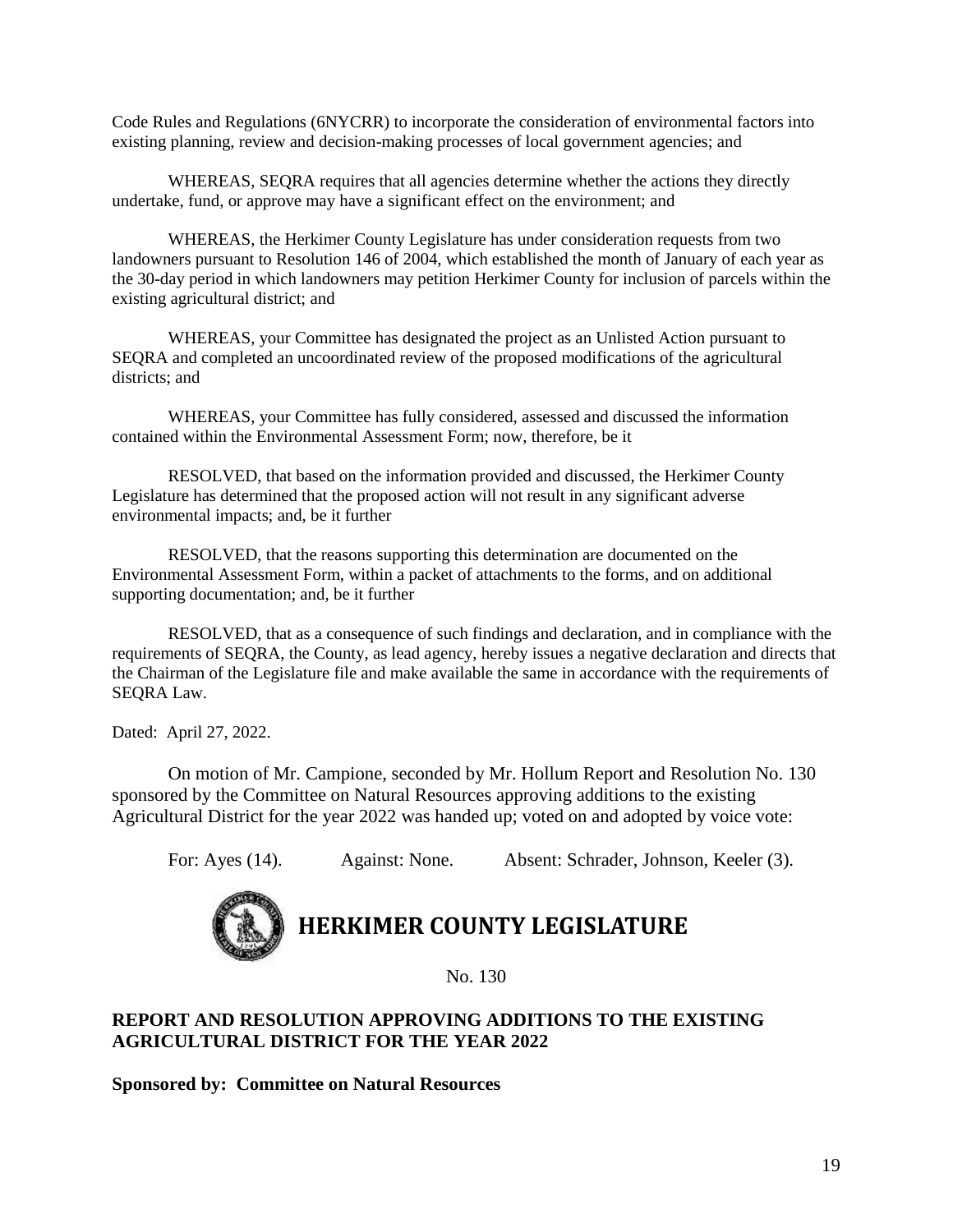Code Rules and Regulations (6NYCRR) to incorporate the consideration of environmental factors into existing planning, review and decision-making processes of local government agencies; and

WHEREAS, SEQRA requires that all agencies determine whether the actions they directly undertake, fund, or approve may have a significant effect on the environment; and

WHEREAS, the Herkimer County Legislature has under consideration requests from two landowners pursuant to Resolution 146 of 2004, which established the month of January of each year as the 30-day period in which landowners may petition Herkimer County for inclusion of parcels within the existing agricultural district; and

WHEREAS, your Committee has designated the project as an Unlisted Action pursuant to SEQRA and completed an uncoordinated review of the proposed modifications of the agricultural districts; and

WHEREAS, your Committee has fully considered, assessed and discussed the information contained within the Environmental Assessment Form; now, therefore, be it

RESOLVED, that based on the information provided and discussed, the Herkimer County Legislature has determined that the proposed action will not result in any significant adverse environmental impacts; and, be it further

RESOLVED, that the reasons supporting this determination are documented on the Environmental Assessment Form, within a packet of attachments to the forms, and on additional supporting documentation; and, be it further

RESOLVED, that as a consequence of such findings and declaration, and in compliance with the requirements of SEQRA, the County, as lead agency, hereby issues a negative declaration and directs that the Chairman of the Legislature file and make available the same in accordance with the requirements of SEQRA Law.

Dated: April 27, 2022.

On motion of Mr. Campione, seconded by Mr. Hollum Report and Resolution No. 130 sponsored by the Committee on Natural Resources approving additions to the existing Agricultural District for the year 2022 was handed up; voted on and adopted by voice vote:

For: Ayes (14). Against: None. Absent: Schrader, Johnson, Keeler (3).



### **HERKIMER COUNTY LEGISLATURE**

No. 130

### **REPORT AND RESOLUTION APPROVING ADDITIONS TO THE EXISTING AGRICULTURAL DISTRICT FOR THE YEAR 2022**

**Sponsored by: Committee on Natural Resources**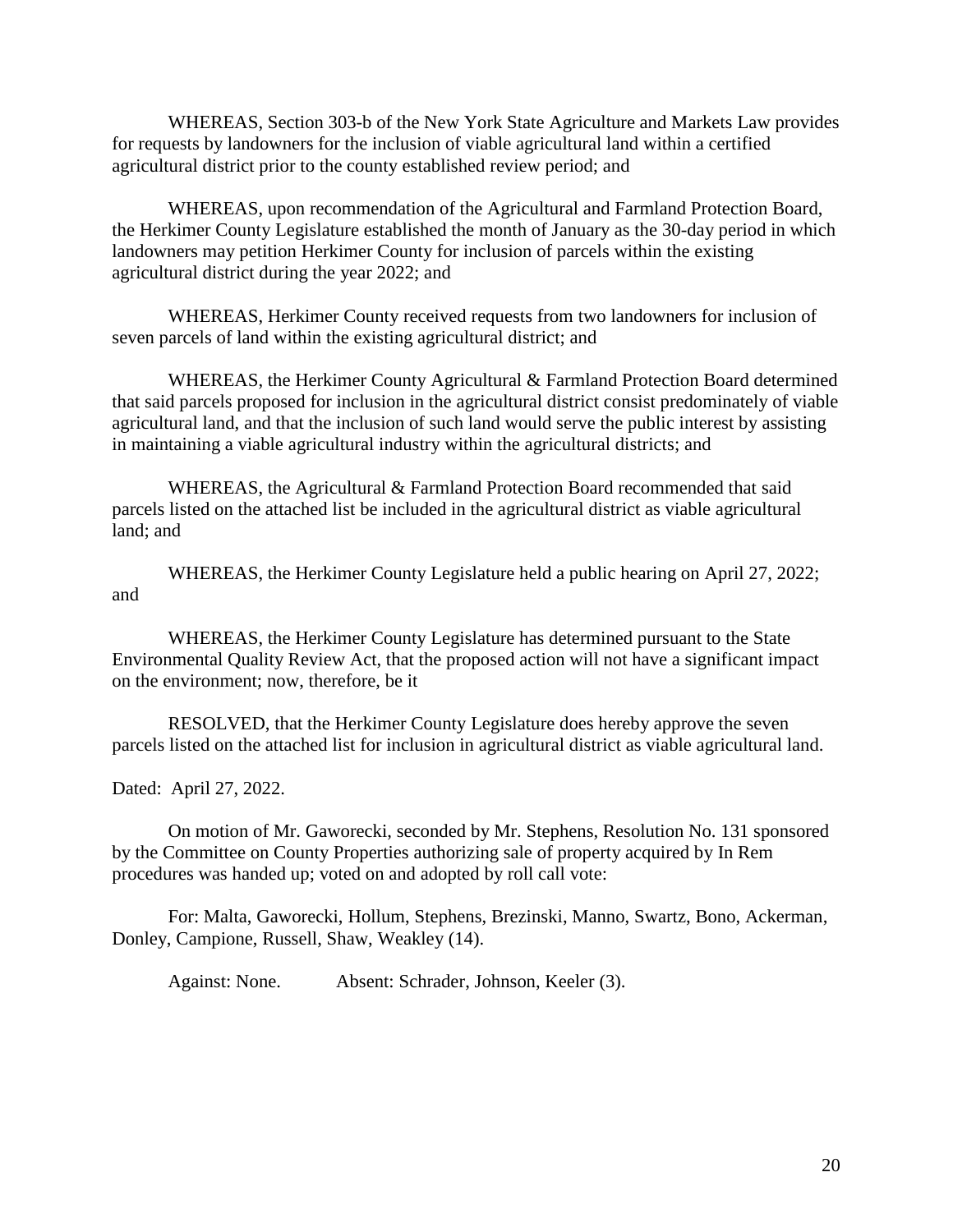WHEREAS, Section 303-b of the New York State Agriculture and Markets Law provides for requests by landowners for the inclusion of viable agricultural land within a certified agricultural district prior to the county established review period; and

WHEREAS, upon recommendation of the Agricultural and Farmland Protection Board, the Herkimer County Legislature established the month of January as the 30-day period in which landowners may petition Herkimer County for inclusion of parcels within the existing agricultural district during the year 2022; and

WHEREAS, Herkimer County received requests from two landowners for inclusion of seven parcels of land within the existing agricultural district; and

WHEREAS, the Herkimer County Agricultural & Farmland Protection Board determined that said parcels proposed for inclusion in the agricultural district consist predominately of viable agricultural land, and that the inclusion of such land would serve the public interest by assisting in maintaining a viable agricultural industry within the agricultural districts; and

WHEREAS, the Agricultural & Farmland Protection Board recommended that said parcels listed on the attached list be included in the agricultural district as viable agricultural land; and

WHEREAS, the Herkimer County Legislature held a public hearing on April 27, 2022; and

WHEREAS, the Herkimer County Legislature has determined pursuant to the State Environmental Quality Review Act, that the proposed action will not have a significant impact on the environment; now, therefore, be it

RESOLVED, that the Herkimer County Legislature does hereby approve the seven parcels listed on the attached list for inclusion in agricultural district as viable agricultural land.

Dated: April 27, 2022.

On motion of Mr. Gaworecki, seconded by Mr. Stephens, Resolution No. 131 sponsored by the Committee on County Properties authorizing sale of property acquired by In Rem procedures was handed up; voted on and adopted by roll call vote:

For: Malta, Gaworecki, Hollum, Stephens, Brezinski, Manno, Swartz, Bono, Ackerman, Donley, Campione, Russell, Shaw, Weakley (14).

Against: None. Absent: Schrader, Johnson, Keeler (3).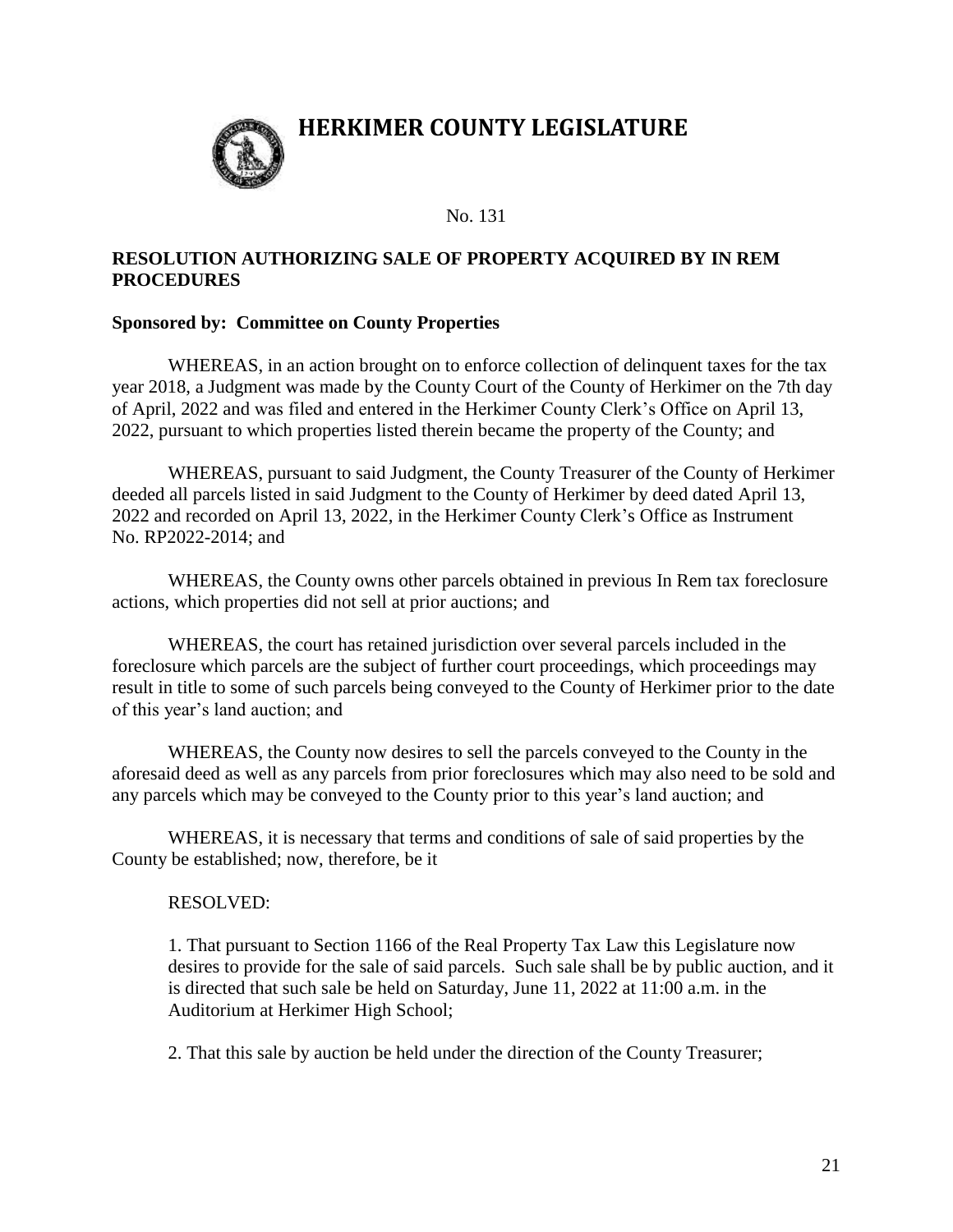

### **HERKIMER COUNTY LEGISLATURE**

No. 131

### **RESOLUTION AUTHORIZING SALE OF PROPERTY ACQUIRED BY IN REM PROCEDURES**

### **Sponsored by: Committee on County Properties**

WHEREAS, in an action brought on to enforce collection of delinquent taxes for the tax year 2018, a Judgment was made by the County Court of the County of Herkimer on the 7th day of April, 2022 and was filed and entered in the Herkimer County Clerk's Office on April 13, 2022, pursuant to which properties listed therein became the property of the County; and

WHEREAS, pursuant to said Judgment, the County Treasurer of the County of Herkimer deeded all parcels listed in said Judgment to the County of Herkimer by deed dated April 13, 2022 and recorded on April 13, 2022, in the Herkimer County Clerk's Office as Instrument No. RP2022-2014; and

WHEREAS, the County owns other parcels obtained in previous In Rem tax foreclosure actions, which properties did not sell at prior auctions; and

WHEREAS, the court has retained jurisdiction over several parcels included in the foreclosure which parcels are the subject of further court proceedings, which proceedings may result in title to some of such parcels being conveyed to the County of Herkimer prior to the date of this year's land auction; and

WHEREAS, the County now desires to sell the parcels conveyed to the County in the aforesaid deed as well as any parcels from prior foreclosures which may also need to be sold and any parcels which may be conveyed to the County prior to this year's land auction; and

WHEREAS, it is necessary that terms and conditions of sale of said properties by the County be established; now, therefore, be it

#### RESOLVED:

1. That pursuant to Section 1166 of the Real Property Tax Law this Legislature now desires to provide for the sale of said parcels. Such sale shall be by public auction, and it is directed that such sale be held on Saturday, June 11, 2022 at 11:00 a.m. in the Auditorium at Herkimer High School;

2. That this sale by auction be held under the direction of the County Treasurer;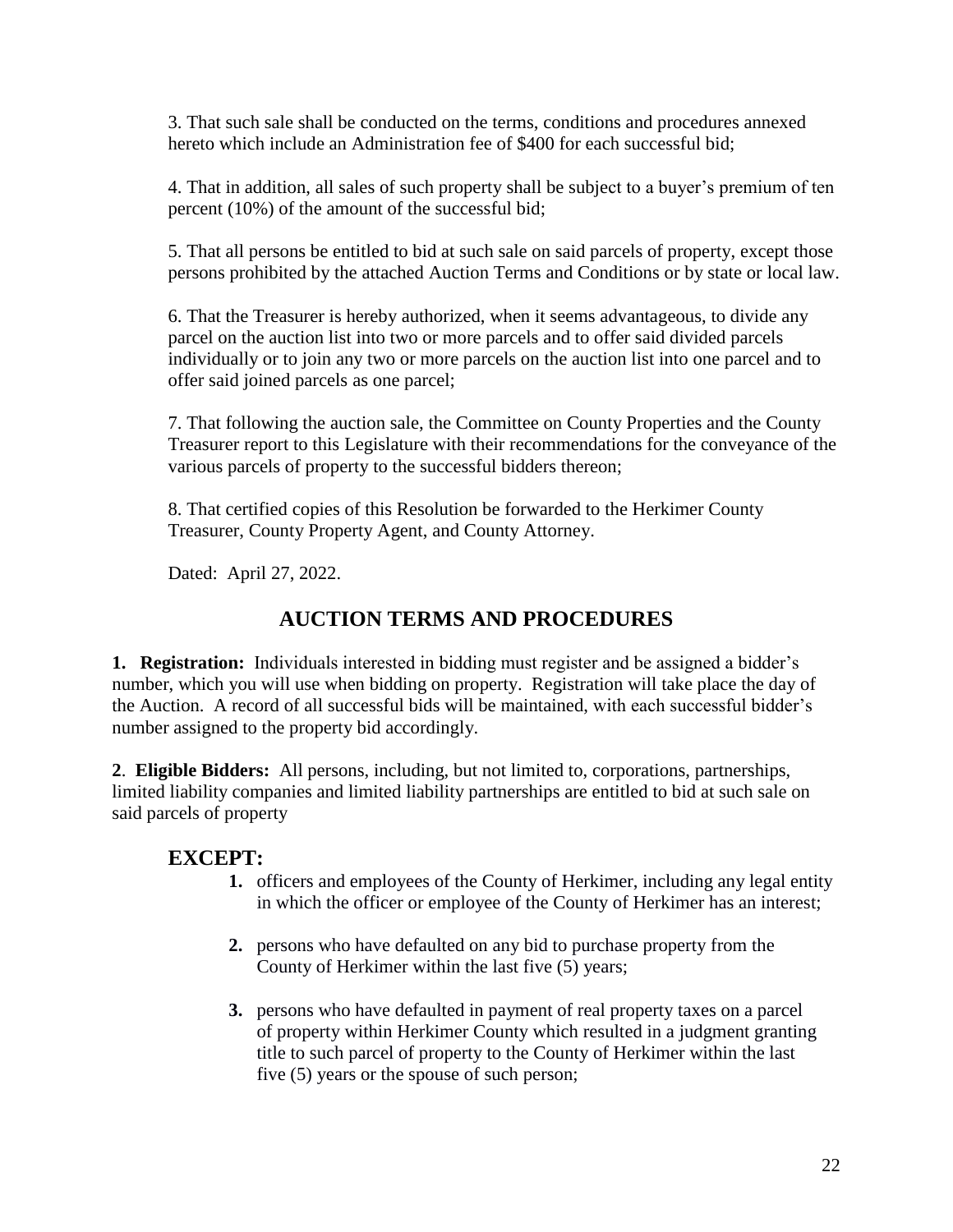3. That such sale shall be conducted on the terms, conditions and procedures annexed hereto which include an Administration fee of \$400 for each successful bid;

4. That in addition, all sales of such property shall be subject to a buyer's premium of ten percent (10%) of the amount of the successful bid;

5. That all persons be entitled to bid at such sale on said parcels of property, except those persons prohibited by the attached Auction Terms and Conditions or by state or local law.

6. That the Treasurer is hereby authorized, when it seems advantageous, to divide any parcel on the auction list into two or more parcels and to offer said divided parcels individually or to join any two or more parcels on the auction list into one parcel and to offer said joined parcels as one parcel;

7. That following the auction sale, the Committee on County Properties and the County Treasurer report to this Legislature with their recommendations for the conveyance of the various parcels of property to the successful bidders thereon;

8. That certified copies of this Resolution be forwarded to the Herkimer County Treasurer, County Property Agent, and County Attorney.

Dated: April 27, 2022.

### **AUCTION TERMS AND PROCEDURES**

**1. Registration:** Individuals interested in bidding must register and be assigned a bidder's number, which you will use when bidding on property. Registration will take place the day of the Auction. A record of all successful bids will be maintained, with each successful bidder's number assigned to the property bid accordingly.

**2**. **Eligible Bidders:** All persons, including, but not limited to, corporations, partnerships, limited liability companies and limited liability partnerships are entitled to bid at such sale on said parcels of property

### **EXCEPT:**

- **1.** officers and employees of the County of Herkimer, including any legal entity in which the officer or employee of the County of Herkimer has an interest;
- **2.** persons who have defaulted on any bid to purchase property from the County of Herkimer within the last five (5) years;
- **3.** persons who have defaulted in payment of real property taxes on a parcel of property within Herkimer County which resulted in a judgment granting title to such parcel of property to the County of Herkimer within the last five (5) years or the spouse of such person;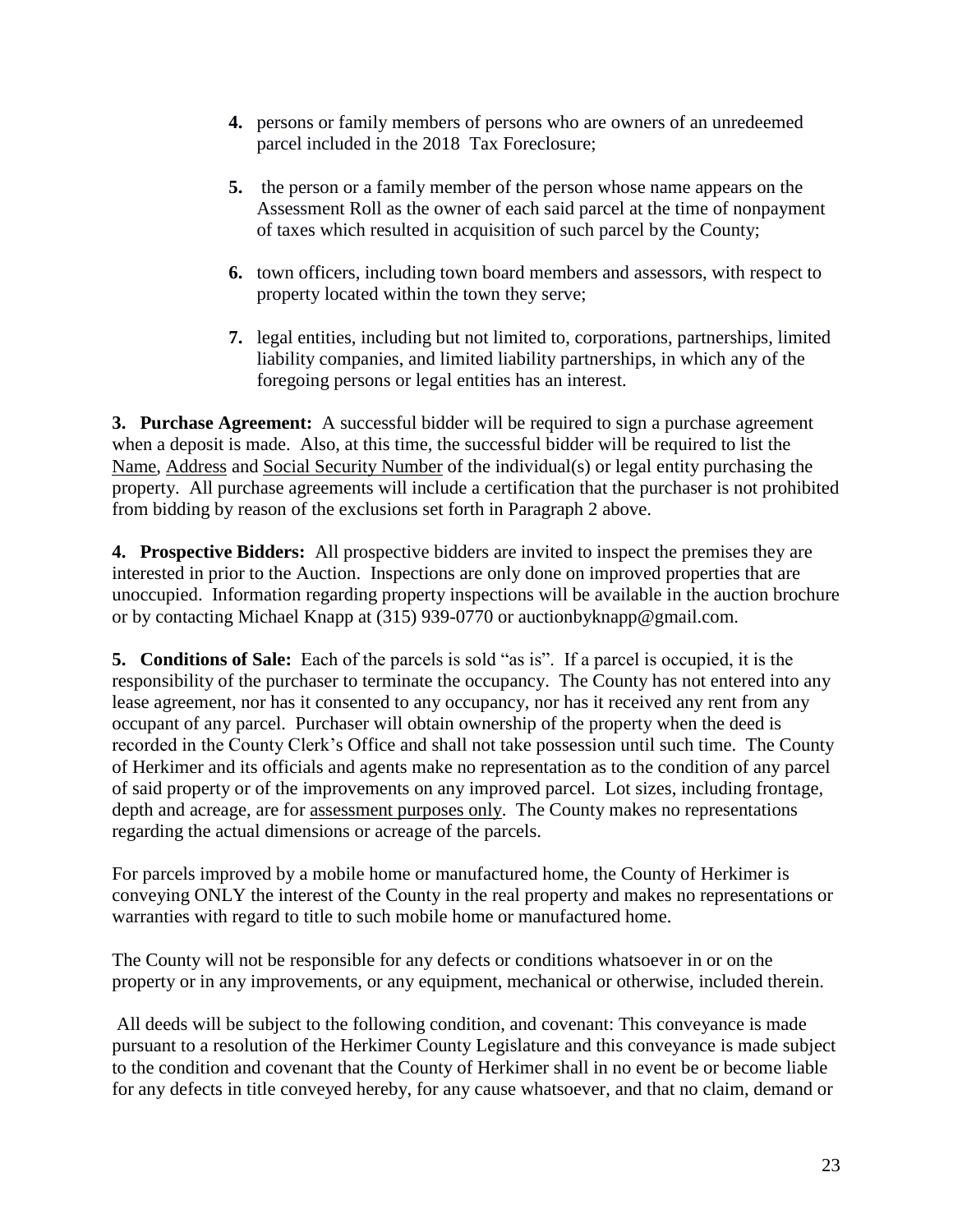- **4.** persons or family members of persons who are owners of an unredeemed parcel included in the 2018 Tax Foreclosure;
- **5.** the person or a family member of the person whose name appears on the Assessment Roll as the owner of each said parcel at the time of nonpayment of taxes which resulted in acquisition of such parcel by the County;
- **6.** town officers, including town board members and assessors, with respect to property located within the town they serve;
- **7.** legal entities, including but not limited to, corporations, partnerships, limited liability companies, and limited liability partnerships, in which any of the foregoing persons or legal entities has an interest.

**3. Purchase Agreement:** A successful bidder will be required to sign a purchase agreement when a deposit is made. Also, at this time, the successful bidder will be required to list the Name, Address and Social Security Number of the individual(s) or legal entity purchasing the property. All purchase agreements will include a certification that the purchaser is not prohibited from bidding by reason of the exclusions set forth in Paragraph 2 above.

**4. Prospective Bidders:** All prospective bidders are invited to inspect the premises they are interested in prior to the Auction. Inspections are only done on improved properties that are unoccupied. Information regarding property inspections will be available in the auction brochure or by contacting Michael Knapp at (315) 939-0770 or auctionbyknapp@gmail.com.

**5. Conditions of Sale:** Each of the parcels is sold "as is". If a parcel is occupied, it is the responsibility of the purchaser to terminate the occupancy. The County has not entered into any lease agreement, nor has it consented to any occupancy, nor has it received any rent from any occupant of any parcel. Purchaser will obtain ownership of the property when the deed is recorded in the County Clerk's Office and shall not take possession until such time. The County of Herkimer and its officials and agents make no representation as to the condition of any parcel of said property or of the improvements on any improved parcel. Lot sizes, including frontage, depth and acreage, are for assessment purposes only. The County makes no representations regarding the actual dimensions or acreage of the parcels.

For parcels improved by a mobile home or manufactured home, the County of Herkimer is conveying ONLY the interest of the County in the real property and makes no representations or warranties with regard to title to such mobile home or manufactured home.

The County will not be responsible for any defects or conditions whatsoever in or on the property or in any improvements, or any equipment, mechanical or otherwise, included therein.

All deeds will be subject to the following condition, and covenant: This conveyance is made pursuant to a resolution of the Herkimer County Legislature and this conveyance is made subject to the condition and covenant that the County of Herkimer shall in no event be or become liable for any defects in title conveyed hereby, for any cause whatsoever, and that no claim, demand or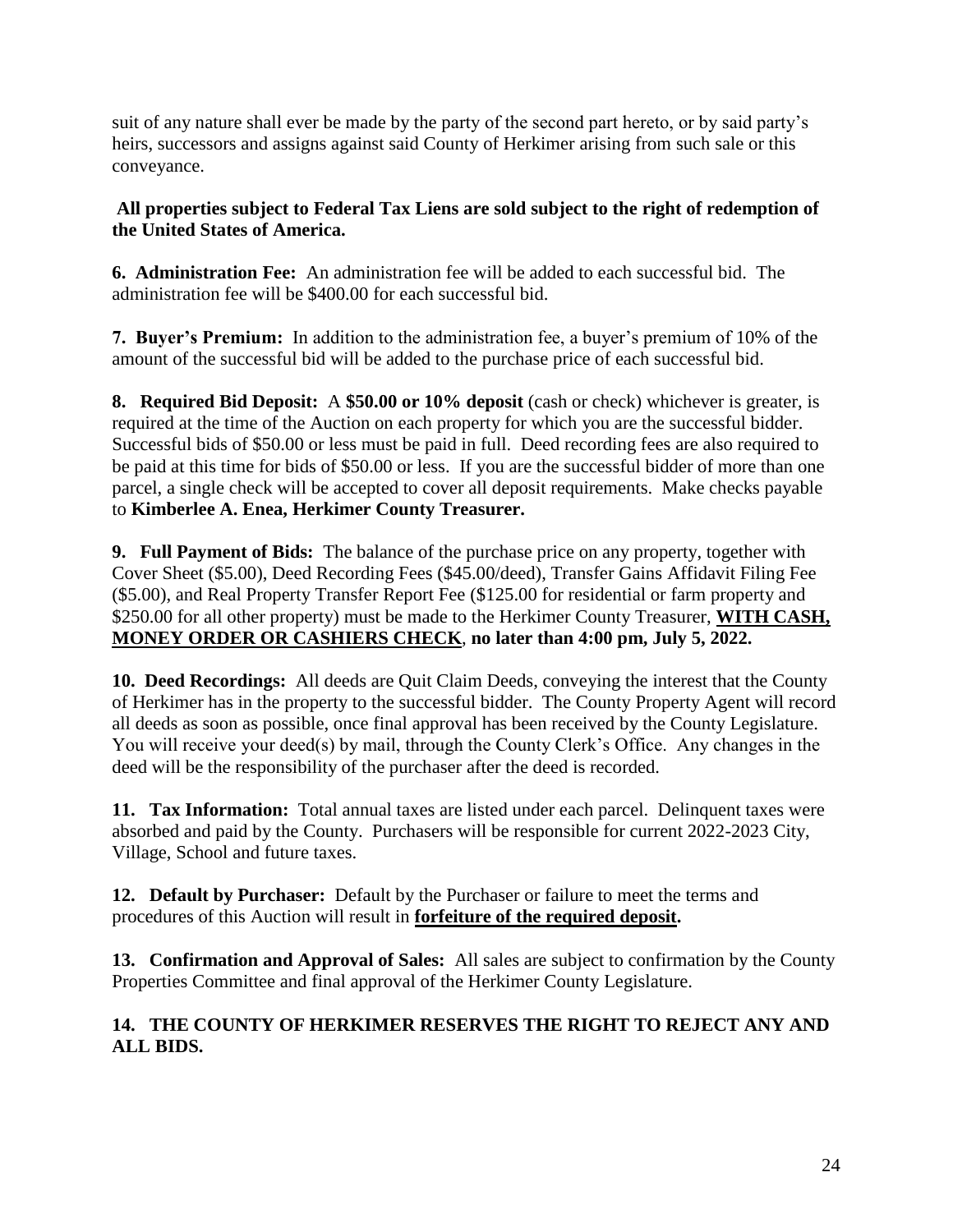suit of any nature shall ever be made by the party of the second part hereto, or by said party's heirs, successors and assigns against said County of Herkimer arising from such sale or this conveyance.

### **All properties subject to Federal Tax Liens are sold subject to the right of redemption of the United States of America.**

**6. Administration Fee:** An administration fee will be added to each successful bid. The administration fee will be \$400.00 for each successful bid.

**7. Buyer's Premium:** In addition to the administration fee, a buyer's premium of 10% of the amount of the successful bid will be added to the purchase price of each successful bid.

**8. Required Bid Deposit:** A **\$50.00 or 10% deposit** (cash or check) whichever is greater, is required at the time of the Auction on each property for which you are the successful bidder. Successful bids of \$50.00 or less must be paid in full. Deed recording fees are also required to be paid at this time for bids of \$50.00 or less. If you are the successful bidder of more than one parcel, a single check will be accepted to cover all deposit requirements. Make checks payable to **Kimberlee A. Enea, Herkimer County Treasurer.**

**9. Full Payment of Bids:** The balance of the purchase price on any property, together with Cover Sheet (\$5.00), Deed Recording Fees (\$45.00/deed), Transfer Gains Affidavit Filing Fee (\$5.00), and Real Property Transfer Report Fee (\$125.00 for residential or farm property and \$250.00 for all other property) must be made to the Herkimer County Treasurer, **WITH CASH, MONEY ORDER OR CASHIERS CHECK**, **no later than 4:00 pm, July 5, 2022.**

**10. Deed Recordings:** All deeds are Quit Claim Deeds, conveying the interest that the County of Herkimer has in the property to the successful bidder. The County Property Agent will record all deeds as soon as possible, once final approval has been received by the County Legislature. You will receive your deed(s) by mail, through the County Clerk's Office. Any changes in the deed will be the responsibility of the purchaser after the deed is recorded.

**11. Tax Information:** Total annual taxes are listed under each parcel. Delinquent taxes were absorbed and paid by the County. Purchasers will be responsible for current 2022-2023 City, Village, School and future taxes.

**12. Default by Purchaser:** Default by the Purchaser or failure to meet the terms and procedures of this Auction will result in **forfeiture of the required deposit.**

**13. Confirmation and Approval of Sales:** All sales are subject to confirmation by the County Properties Committee and final approval of the Herkimer County Legislature.

### **14. THE COUNTY OF HERKIMER RESERVES THE RIGHT TO REJECT ANY AND ALL BIDS.**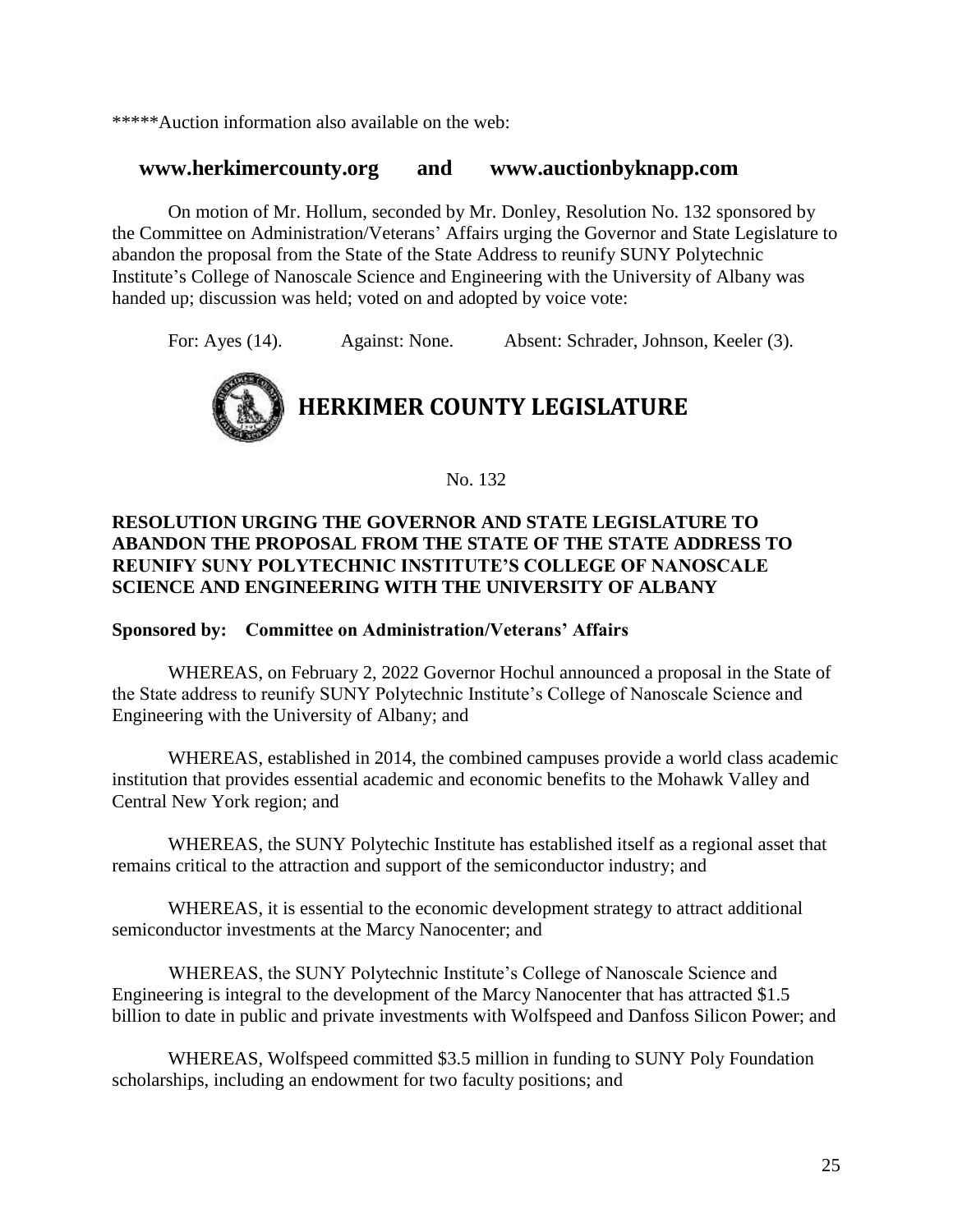\*\*\*\*\*Auction information also available on the web:

### **www.herkimercounty.org and www.auctionbyknapp.com**

On motion of Mr. Hollum, seconded by Mr. Donley, Resolution No. 132 sponsored by the Committee on Administration/Veterans' Affairs urging the Governor and State Legislature to abandon the proposal from the State of the State Address to reunify SUNY Polytechnic Institute's College of Nanoscale Science and Engineering with the University of Albany was handed up; discussion was held; voted on and adopted by voice vote:

For: Ayes (14). Against: None. Absent: Schrader, Johnson, Keeler (3).



No. 132

### **RESOLUTION URGING THE GOVERNOR AND STATE LEGISLATURE TO ABANDON THE PROPOSAL FROM THE STATE OF THE STATE ADDRESS TO REUNIFY SUNY POLYTECHNIC INSTITUTE'S COLLEGE OF NANOSCALE SCIENCE AND ENGINEERING WITH THE UNIVERSITY OF ALBANY**

### **Sponsored by: Committee on Administration/Veterans' Affairs**

WHEREAS, on February 2, 2022 Governor Hochul announced a proposal in the State of the State address to reunify SUNY Polytechnic Institute's College of Nanoscale Science and Engineering with the University of Albany; and

WHEREAS, established in 2014, the combined campuses provide a world class academic institution that provides essential academic and economic benefits to the Mohawk Valley and Central New York region; and

WHEREAS, the SUNY Polytechic Institute has established itself as a regional asset that remains critical to the attraction and support of the semiconductor industry; and

WHEREAS, it is essential to the economic development strategy to attract additional semiconductor investments at the Marcy Nanocenter; and

WHEREAS, the SUNY Polytechnic Institute's College of Nanoscale Science and Engineering is integral to the development of the Marcy Nanocenter that has attracted \$1.5 billion to date in public and private investments with Wolfspeed and Danfoss Silicon Power; and

WHEREAS, Wolfspeed committed \$3.5 million in funding to SUNY Poly Foundation scholarships, including an endowment for two faculty positions; and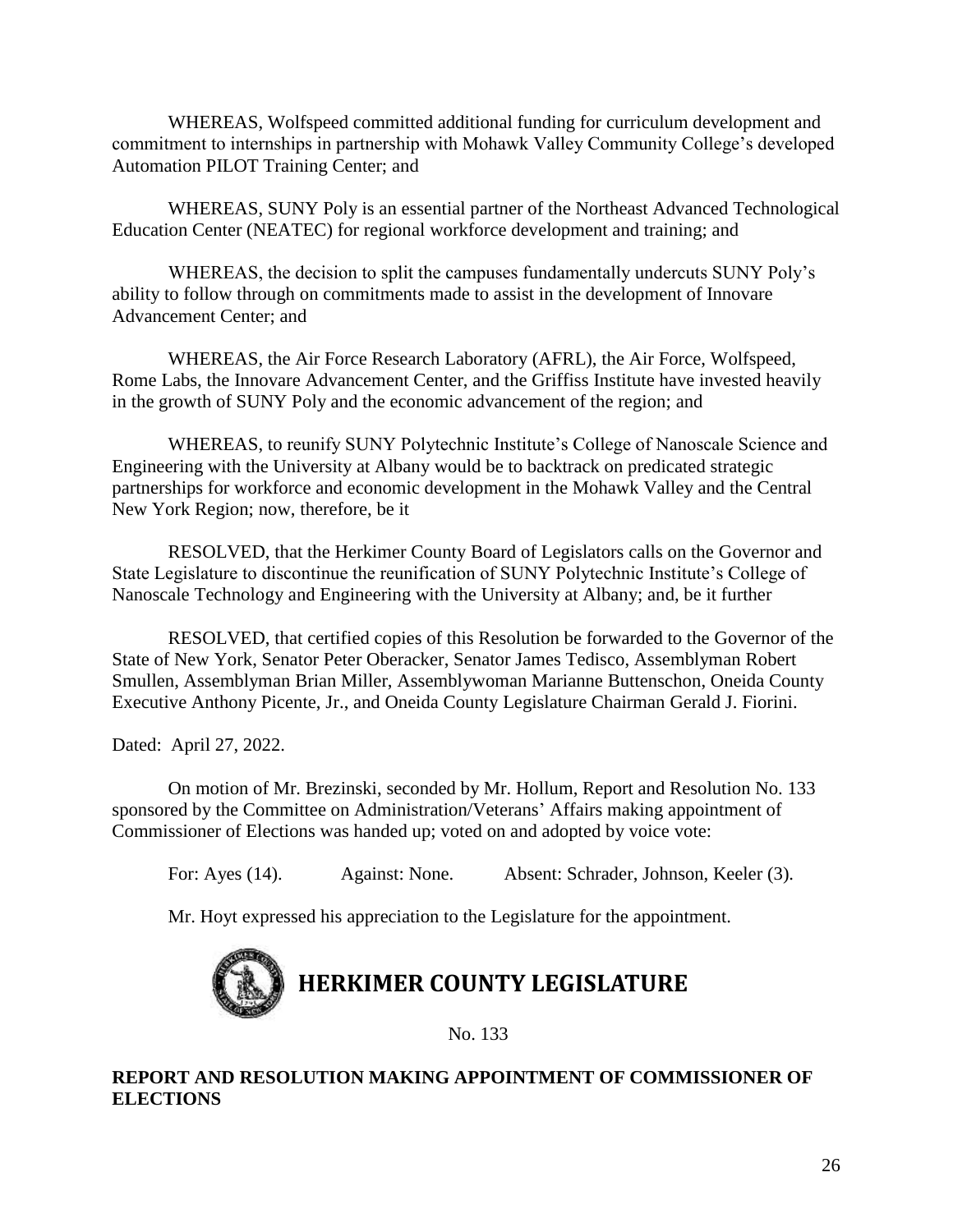WHEREAS, Wolfspeed committed additional funding for curriculum development and commitment to internships in partnership with Mohawk Valley Community College's developed Automation PILOT Training Center; and

WHEREAS, SUNY Poly is an essential partner of the Northeast Advanced Technological Education Center (NEATEC) for regional workforce development and training; and

WHEREAS, the decision to split the campuses fundamentally undercuts SUNY Poly's ability to follow through on commitments made to assist in the development of Innovare Advancement Center; and

WHEREAS, the Air Force Research Laboratory (AFRL), the Air Force, Wolfspeed, Rome Labs, the Innovare Advancement Center, and the Griffiss Institute have invested heavily in the growth of SUNY Poly and the economic advancement of the region; and

WHEREAS, to reunify SUNY Polytechnic Institute's College of Nanoscale Science and Engineering with the University at Albany would be to backtrack on predicated strategic partnerships for workforce and economic development in the Mohawk Valley and the Central New York Region; now, therefore, be it

RESOLVED, that the Herkimer County Board of Legislators calls on the Governor and State Legislature to discontinue the reunification of SUNY Polytechnic Institute's College of Nanoscale Technology and Engineering with the University at Albany; and, be it further

RESOLVED, that certified copies of this Resolution be forwarded to the Governor of the State of New York, Senator Peter Oberacker, Senator James Tedisco, Assemblyman Robert Smullen, Assemblyman Brian Miller, Assemblywoman Marianne Buttenschon, Oneida County Executive Anthony Picente, Jr., and Oneida County Legislature Chairman Gerald J. Fiorini.

Dated: April 27, 2022.

On motion of Mr. Brezinski, seconded by Mr. Hollum, Report and Resolution No. 133 sponsored by the Committee on Administration/Veterans' Affairs making appointment of Commissioner of Elections was handed up; voted on and adopted by voice vote:

For: Ayes (14). Against: None. Absent: Schrader, Johnson, Keeler (3).

Mr. Hoyt expressed his appreciation to the Legislature for the appointment.



No. 133

### **REPORT AND RESOLUTION MAKING APPOINTMENT OF COMMISSIONER OF ELECTIONS**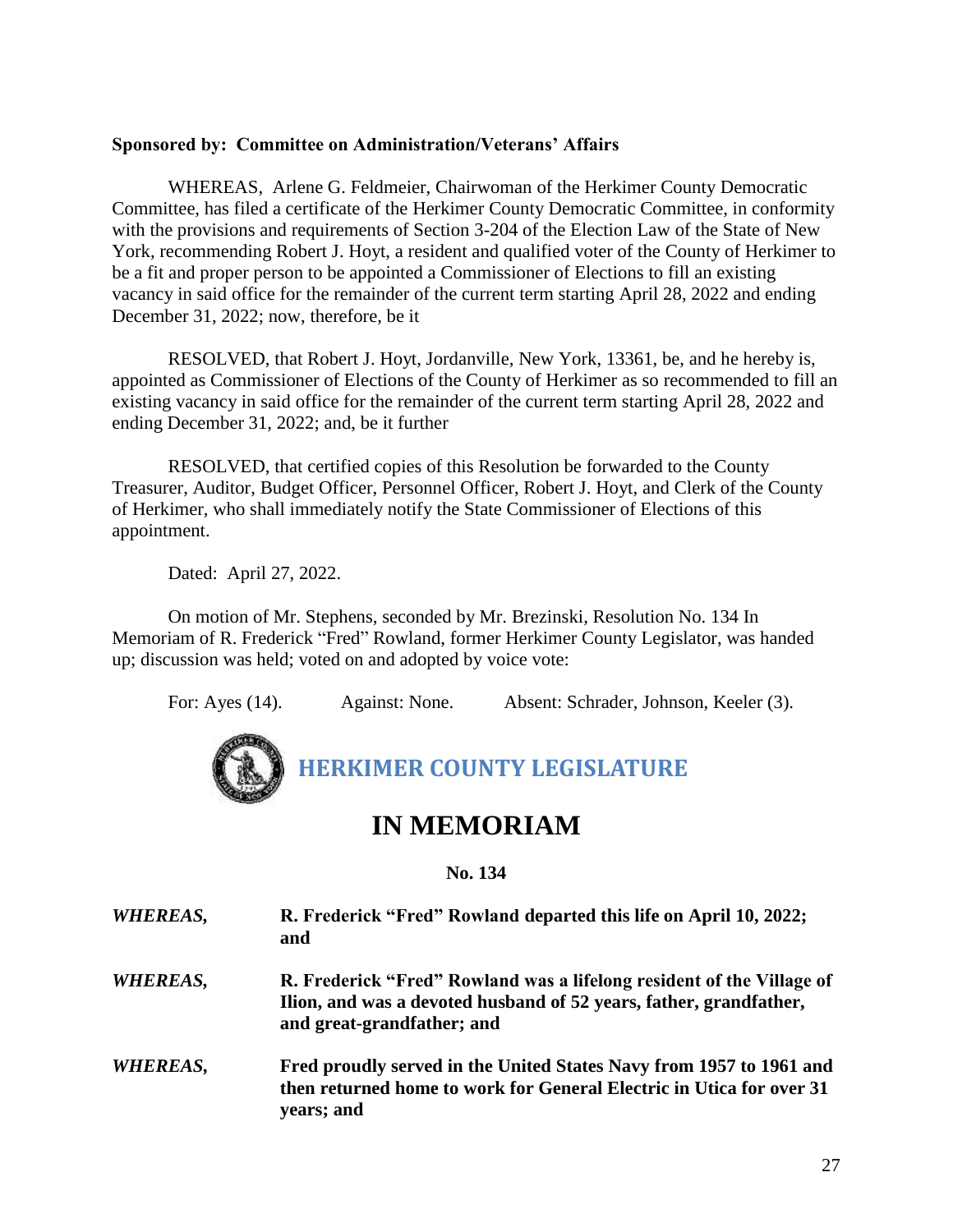### **Sponsored by: Committee on Administration/Veterans' Affairs**

WHEREAS, Arlene G. Feldmeier, Chairwoman of the Herkimer County Democratic Committee, has filed a certificate of the Herkimer County Democratic Committee, in conformity with the provisions and requirements of Section 3-204 of the Election Law of the State of New York, recommending Robert J. Hoyt, a resident and qualified voter of the County of Herkimer to be a fit and proper person to be appointed a Commissioner of Elections to fill an existing vacancy in said office for the remainder of the current term starting April 28, 2022 and ending December 31, 2022; now, therefore, be it

RESOLVED, that Robert J. Hoyt, Jordanville, New York, 13361, be, and he hereby is, appointed as Commissioner of Elections of the County of Herkimer as so recommended to fill an existing vacancy in said office for the remainder of the current term starting April 28, 2022 and ending December 31, 2022; and, be it further

RESOLVED, that certified copies of this Resolution be forwarded to the County Treasurer, Auditor, Budget Officer, Personnel Officer, Robert J. Hoyt, and Clerk of the County of Herkimer, who shall immediately notify the State Commissioner of Elections of this appointment.

Dated: April 27, 2022.

On motion of Mr. Stephens, seconded by Mr. Brezinski, Resolution No. 134 In Memoriam of R. Frederick "Fred" Rowland, former Herkimer County Legislator, was handed up; discussion was held; voted on and adopted by voice vote:

For: Ayes (14). Against: None. Absent: Schrader, Johnson, Keeler (3).



**HERKIMER COUNTY LEGISLATURE**

### **IN MEMORIAM**

### **No. 134**

| <b>WHEREAS,</b> | R. Frederick "Fred" Rowland departed this life on April 10, 2022;<br>and                                                                                                  |
|-----------------|---------------------------------------------------------------------------------------------------------------------------------------------------------------------------|
| <b>WHEREAS,</b> | R. Frederick "Fred" Rowland was a lifelong resident of the Village of<br>Ilion, and was a devoted husband of 52 years, father, grandfather,<br>and great-grandfather; and |
| <b>WHEREAS,</b> | Fred proudly served in the United States Navy from 1957 to 1961 and<br>then returned home to work for General Electric in Utica for over 31<br>years; and                 |